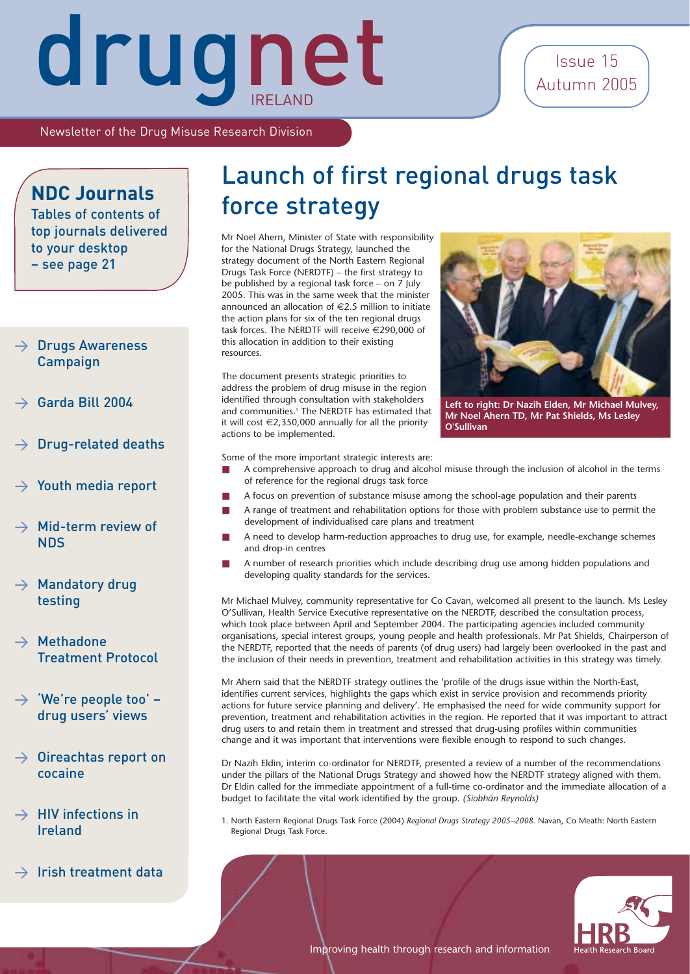### Issue 15 Autumn 2005

Newsletter of the Drug Misuse Research Division

### **NDC Journals**

Tables of contents of top journals delivered to your desktop – see page 21

### $\rightarrow$  Drugs Awareness Campaign

- > Garda Bill 2004
- > Drug-related deaths
- $\rightarrow$  Youth media report
- Mid-term review of **NDS**
- $\rightarrow$  Mandatory drug testing
- $\rightarrow$  Methadone Treatment Protocol
- $\rightarrow$  'We're people too' drug users' views
- $\rightarrow$  Oireachtas report on cocaine
- $\rightarrow$  HIV infections in Ireland
- $\rightarrow$  Irish treatment data

### Launch of first regional drugs task force strategy

Mr Noel Ahern, Minister of State with responsibility for the National Drugs Strategy, launched the strategy document of the North Eastern Regional Drugs Task Force (NERDTF) – the first strategy to be published by a regional task force – on 7 July 2005. This was in the same week that the minister announced an allocation of  $\in$  2.5 million to initiate the action plans for six of the ten regional drugs task forces. The NERDTF will receive €290,000 of this allocation in addition to their existing resources.

The document presents strategic priorities to address the problem of drug misuse in the region identified through consultation with stakeholders and communities.<sup>1</sup> The NERDTF has estimated that it will cost  $€2,350,000$  annually for all the priority actions to be implemented.



**Left to right: Dr Nazih Elden, Mr Michael Mulvey, Mr Noel Ahern TD, Mr Pat Shields, Ms Lesley O'Sullivan** 

Some of the more important strategic interests are:

- A comprehensive approach to drug and alcohol misuse through the inclusion of alcohol in the terms of reference for the regional drugs task force
- A focus on prevention of substance misuse among the school-age population and their parents
- A range of treatment and rehabilitation options for those with problem substance use to permit the development of individualised care plans and treatment
- A need to develop harm-reduction approaches to drug use, for example, needle-exchange schemes and drop-in centres
- A number of research priorities which include describing drug use among hidden populations and developing quality standards for the services.

Mr Michael Mulvey, community representative for Co Cavan, welcomed all present to the launch. Ms Lesley O'Sullivan, Health Service Executive representative on the NERDTF, described the consultation process, which took place between April and September 2004. The participating agencies included community organisations, special interest groups, young people and health professionals. Mr Pat Shields, Chairperson of the NERDTF, reported that the needs of parents (of drug users) had largely been overlooked in the past and the inclusion of their needs in prevention, treatment and rehabilitation activities in this strategy was timely.

Mr Ahern said that the NERDTF strategy outlines the 'profile of the drugs issue within the North-East, identifies current services, highlights the gaps which exist in service provision and recommends priority actions for future service planning and delivery'. He emphasised the need for wide community support for prevention, treatment and rehabilitation activities in the region. He reported that it was important to attract drug users to and retain them in treatment and stressed that drug-using profiles within communities change and it was important that interventions were flexible enough to respond to such changes.

Dr Nazih Eldin, interim co-ordinator for NERDTF, presented a review of a number of the recommendations under the pillars of the National Drugs Strategy and showed how the NERDTF strategy aligned with them. Dr Eldin called for the immediate appointment of a full-time co-ordinator and the immediate allocation of a budget to facilitate the vital work identified by the group. *(Siobhán Reynolds)*

1. North Eastern Regional Drugs Task Force (2004) *Regional Drugs Strategy 2005–2008.* Navan, Co Meath: North Eastern Regional Drugs Task Force.

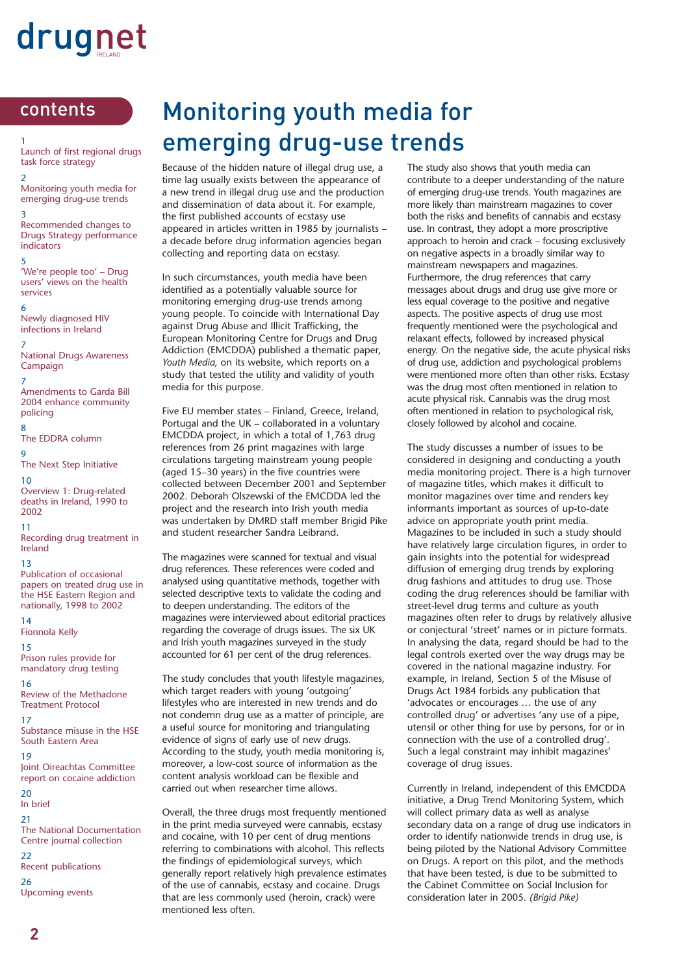### contents

1 Launch of first regional drugs task force strategy

2 Monitoring youth media for emerging drug-use trends

3 Recommended changes to Drugs Strategy performance indicators

5 'We're people too' – Drug users' views on the health services

6 Newly diagnosed HIV infections in Ireland

7 National Drugs Awareness Campaign

7 Amendments to Garda Bill 2004 enhance community policing

8 The EDDRA column

9 The Next Step Initiative 10

Overview 1: Drug-related deaths in Ireland, 1990 to 2002

11 Recording drug treatment in Ireland

13

Publication of occasional papers on treated drug use in the HSE Eastern Region and nationally, 1998 to 2002

14 Fionnola Kelly

15 Prison rules provide for mandatory drug testing

16 Review of the Methadone Treatment Protocol

17 Substance misuse in the HSE South Eastern Area

19 Joint Oireachtas Committee report on cocaine addiction

20 In brief

21 The National Documentation Centre journal collection 22 Recent publications 26

Upcoming events

### Monitoring youth media for emerging drug-use trends

Because of the hidden nature of illegal drug use, a time lag usually exists between the appearance of a new trend in illegal drug use and the production and dissemination of data about it. For example, the first published accounts of ecstasy use appeared in articles written in 1985 by journalists – a decade before drug information agencies began collecting and reporting data on ecstasy.

In such circumstances, youth media have been identified as a potentially valuable source for monitoring emerging drug-use trends among young people. To coincide with International Day against Drug Abuse and Illicit Trafficking, the European Monitoring Centre for Drugs and Drug Addiction (EMCDDA) published a thematic paper, *Youth Media,* on its website, which reports on a study that tested the utility and validity of youth media for this purpose.

Five EU member states – Finland, Greece, Ireland, Portugal and the UK – collaborated in a voluntary EMCDDA project, in which a total of 1,763 drug references from 26 print magazines with large circulations targeting mainstream young people (aged 15–30 years) in the five countries were collected between December 2001 and September 2002. Deborah Olszewski of the EMCDDA led the project and the research into Irish youth media was undertaken by DMRD staff member Brigid Pike and student researcher Sandra Leibrand.

The magazines were scanned for textual and visual drug references. These references were coded and analysed using quantitative methods, together with selected descriptive texts to validate the coding and to deepen understanding. The editors of the magazines were interviewed about editorial practices regarding the coverage of drugs issues. The six UK and Irish youth magazines surveyed in the study accounted for 61 per cent of the drug references.

The study concludes that youth lifestyle magazines, which target readers with young 'outgoing' lifestyles who are interested in new trends and do not condemn drug use as a matter of principle, are a useful source for monitoring and triangulating evidence of signs of early use of new drugs. According to the study, youth media monitoring is, moreover, a low-cost source of information as the content analysis workload can be flexible and carried out when researcher time allows.

Overall, the three drugs most frequently mentioned in the print media surveyed were cannabis, ecstasy and cocaine, with 10 per cent of drug mentions referring to combinations with alcohol. This reflects the findings of epidemiological surveys, which generally report relatively high prevalence estimates of the use of cannabis, ecstasy and cocaine. Drugs that are less commonly used (heroin, crack) were mentioned less often.

The study also shows that youth media can contribute to a deeper understanding of the nature of emerging drug-use trends. Youth magazines are more likely than mainstream magazines to cover both the risks and benefits of cannabis and ecstasy use. In contrast, they adopt a more proscriptive approach to heroin and crack – focusing exclusively on negative aspects in a broadly similar way to mainstream newspapers and magazines. Furthermore, the drug references that carry messages about drugs and drug use give more or less equal coverage to the positive and negative aspects. The positive aspects of drug use most frequently mentioned were the psychological and relaxant effects, followed by increased physical energy. On the negative side, the acute physical risks of drug use, addiction and psychological problems were mentioned more often than other risks. Ecstasy was the drug most often mentioned in relation to acute physical risk. Cannabis was the drug most often mentioned in relation to psychological risk, closely followed by alcohol and cocaine.

The study discusses a number of issues to be considered in designing and conducting a youth media monitoring project. There is a high turnover of magazine titles, which makes it difficult to monitor magazines over time and renders key informants important as sources of up-to-date advice on appropriate youth print media. Magazines to be included in such a study should have relatively large circulation figures, in order to gain insights into the potential for widespread diffusion of emerging drug trends by exploring drug fashions and attitudes to drug use. Those coding the drug references should be familiar with street-level drug terms and culture as youth magazines often refer to drugs by relatively allusive or conjectural 'street' names or in picture formats. In analysing the data, regard should be had to the legal controls exerted over the way drugs may be covered in the national magazine industry. For example, in Ireland, Section 5 of the Misuse of Drugs Act 1984 forbids any publication that 'advocates or encourages … the use of any controlled drug' or advertises 'any use of a pipe, utensil or other thing for use by persons, for or in connection with the use of a controlled drug'. Such a legal constraint may inhibit magazines' coverage of drug issues.

Currently in Ireland, independent of this EMCDDA initiative, a Drug Trend Monitoring System, which will collect primary data as well as analyse secondary data on a range of drug use indicators in order to identify nationwide trends in drug use, is being piloted by the National Advisory Committee on Drugs. A report on this pilot, and the methods that have been tested, is due to be submitted to the Cabinet Committee on Social Inclusion for consideration later in 2005. *(Brigid Pike)*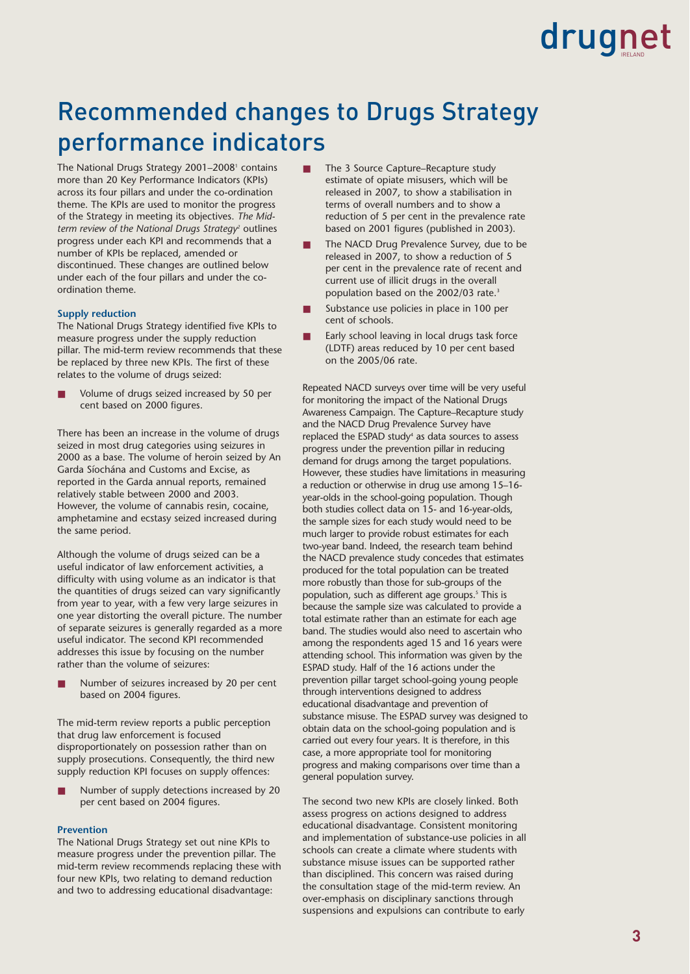### Recommended changes to Drugs Strategy performance indicators

The National Drugs Strategy 2001-2008<sup>1</sup> contains more than 20 Key Performance Indicators (KPIs) across its four pillars and under the co-ordination theme. The KPIs are used to monitor the progress of the Strategy in meeting its objectives. *The Mid*term review of the National Drugs Strategy<sup>2</sup> outlines progress under each KPI and recommends that a number of KPIs be replaced, amended or discontinued. These changes are outlined below under each of the four pillars and under the coordination theme.

### **Supply reduction**

The National Drugs Strategy identified five KPIs to measure progress under the supply reduction pillar. The mid-term review recommends that these be replaced by three new KPIs. The first of these relates to the volume of drugs seized:

Volume of drugs seized increased by 50 per cent based on 2000 figures.

There has been an increase in the volume of drugs seized in most drug categories using seizures in 2000 as a base. The volume of heroin seized by An Garda Síochána and Customs and Excise, as reported in the Garda annual reports, remained relatively stable between 2000 and 2003. However, the volume of cannabis resin, cocaine, amphetamine and ecstasy seized increased during the same period.

Although the volume of drugs seized can be a useful indicator of law enforcement activities, a difficulty with using volume as an indicator is that the quantities of drugs seized can vary significantly from year to year, with a few very large seizures in one year distorting the overall picture. The number of separate seizures is generally regarded as a more useful indicator. The second KPI recommended addresses this issue by focusing on the number rather than the volume of seizures:

Number of seizures increased by 20 per cent based on 2004 figures.

The mid-term review reports a public perception that drug law enforcement is focused disproportionately on possession rather than on supply prosecutions. Consequently, the third new supply reduction KPI focuses on supply offences:

Number of supply detections increased by 20 per cent based on 2004 figures.

#### **Prevention**

The National Drugs Strategy set out nine KPIs to measure progress under the prevention pillar. The mid-term review recommends replacing these with four new KPIs, two relating to demand reduction and two to addressing educational disadvantage:

- The 3 Source Capture–Recapture study estimate of opiate misusers, which will be released in 2007, to show a stabilisation in terms of overall numbers and to show a reduction of 5 per cent in the prevalence rate based on 2001 figures (published in 2003).
- The NACD Drug Prevalence Survey, due to be released in 2007, to show a reduction of 5 per cent in the prevalence rate of recent and current use of illicit drugs in the overall population based on the 2002/03 rate.<sup>3</sup>
- Substance use policies in place in 100 per cent of schools.
- Early school leaving in local drugs task force (LDTF) areas reduced by 10 per cent based on the 2005/06 rate.

Repeated NACD surveys over time will be very useful for monitoring the impact of the National Drugs Awareness Campaign. The Capture–Recapture study and the NACD Drug Prevalence Survey have replaced the ESPAD study<sup>4</sup> as data sources to assess progress under the prevention pillar in reducing demand for drugs among the target populations. However, these studies have limitations in measuring a reduction or otherwise in drug use among 15–16 year-olds in the school-going population. Though both studies collect data on 15- and 16-year-olds, the sample sizes for each study would need to be much larger to provide robust estimates for each two-year band. Indeed, the research team behind the NACD prevalence study concedes that estimates produced for the total population can be treated more robustly than those for sub-groups of the population, such as different age groups.<sup>5</sup> This is because the sample size was calculated to provide a total estimate rather than an estimate for each age band. The studies would also need to ascertain who among the respondents aged 15 and 16 years were attending school. This information was given by the ESPAD study. Half of the 16 actions under the prevention pillar target school-going young people through interventions designed to address educational disadvantage and prevention of substance misuse. The ESPAD survey was designed to obtain data on the school-going population and is carried out every four years. It is therefore, in this case, a more appropriate tool for monitoring progress and making comparisons over time than a general population survey.

The second two new KPIs are closely linked. Both assess progress on actions designed to address educational disadvantage. Consistent monitoring and implementation of substance-use policies in all schools can create a climate where students with substance misuse issues can be supported rather than disciplined. This concern was raised during the consultation stage of the mid-term review. An over-emphasis on disciplinary sanctions through suspensions and expulsions can contribute to early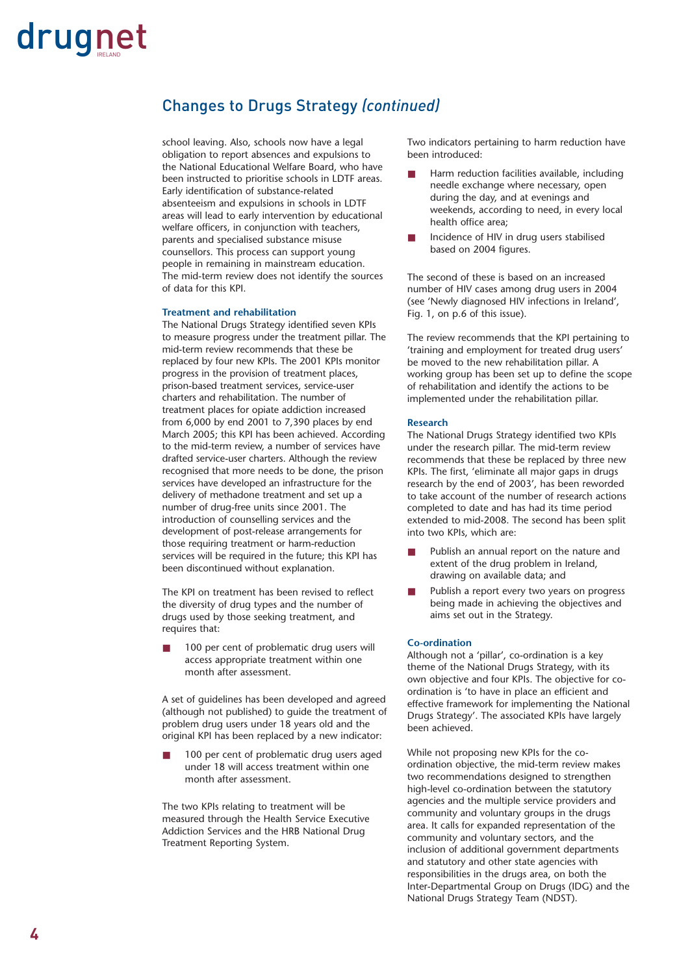### Changes to Drugs Strategy *(continued)*

school leaving. Also, schools now have a legal obligation to report absences and expulsions to the National Educational Welfare Board, who have been instructed to prioritise schools in LDTF areas. Early identification of substance-related absenteeism and expulsions in schools in LDTF areas will lead to early intervention by educational welfare officers, in conjunction with teachers, parents and specialised substance misuse counsellors. This process can support young people in remaining in mainstream education. The mid-term review does not identify the sources of data for this KPI.

### **Treatment and rehabilitation**

The National Drugs Strategy identified seven KPIs to measure progress under the treatment pillar. The mid-term review recommends that these be replaced by four new KPIs. The 2001 KPIs monitor progress in the provision of treatment places, prison-based treatment services, service-user charters and rehabilitation. The number of treatment places for opiate addiction increased from 6,000 by end 2001 to 7,390 places by end March 2005; this KPI has been achieved. According to the mid-term review, a number of services have drafted service-user charters. Although the review recognised that more needs to be done, the prison services have developed an infrastructure for the delivery of methadone treatment and set up a number of drug-free units since 2001. The introduction of counselling services and the development of post-release arrangements for those requiring treatment or harm-reduction services will be required in the future; this KPI has been discontinued without explanation.

The KPI on treatment has been revised to reflect the diversity of drug types and the number of drugs used by those seeking treatment, and requires that:

100 per cent of problematic drug users will access appropriate treatment within one month after assessment.

A set of guidelines has been developed and agreed (although not published) to guide the treatment of problem drug users under 18 years old and the original KPI has been replaced by a new indicator:

100 per cent of problematic drug users aged under 18 will access treatment within one month after assessment.

The two KPIs relating to treatment will be measured through the Health Service Executive Addiction Services and the HRB National Drug Treatment Reporting System.

Two indicators pertaining to harm reduction have been introduced:

- Harm reduction facilities available, including needle exchange where necessary, open during the day, and at evenings and weekends, according to need, in every local health office area;
- Incidence of HIV in drug users stabilised based on 2004 figures.

The second of these is based on an increased number of HIV cases among drug users in 2004 (see 'Newly diagnosed HIV infections in Ireland', Fig. 1, on p.6 of this issue).

The review recommends that the KPI pertaining to 'training and employment for treated drug users' be moved to the new rehabilitation pillar. A working group has been set up to define the scope of rehabilitation and identify the actions to be implemented under the rehabilitation pillar.

#### **Research**

The National Drugs Strategy identified two KPIs under the research pillar. The mid-term review recommends that these be replaced by three new KPIs. The first, 'eliminate all major gaps in drugs research by the end of 2003', has been reworded to take account of the number of research actions completed to date and has had its time period extended to mid-2008. The second has been split into two KPIs, which are:

- Publish an annual report on the nature and extent of the drug problem in Ireland, drawing on available data; and
- Publish a report every two years on progress being made in achieving the objectives and aims set out in the Strategy.

### **Co-ordination**

Although not a 'pillar', co-ordination is a key theme of the National Drugs Strategy, with its own objective and four KPIs. The objective for coordination is 'to have in place an efficient and effective framework for implementing the National Drugs Strategy'. The associated KPIs have largely been achieved.

While not proposing new KPIs for the coordination objective, the mid-term review makes two recommendations designed to strengthen high-level co-ordination between the statutory agencies and the multiple service providers and community and voluntary groups in the drugs area. It calls for expanded representation of the community and voluntary sectors, and the inclusion of additional government departments and statutory and other state agencies with responsibilities in the drugs area, on both the Inter-Departmental Group on Drugs (IDG) and the National Drugs Strategy Team (NDST).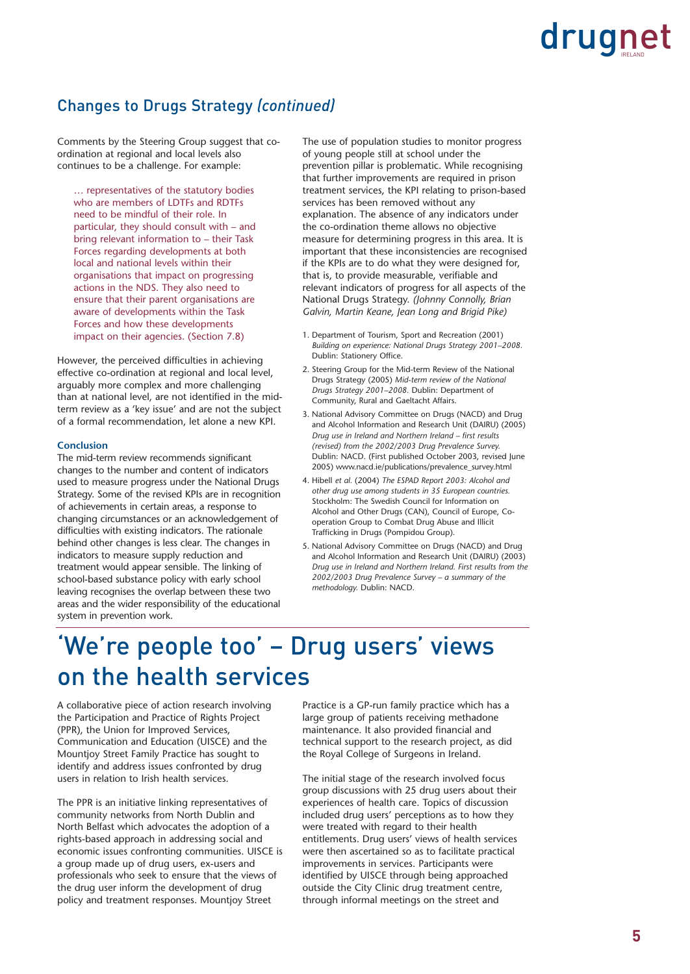### Changes to Drugs Strategy *(continued)*

Comments by the Steering Group suggest that coordination at regional and local levels also continues to be a challenge. For example:

… representatives of the statutory bodies who are members of LDTFs and RDTFs need to be mindful of their role. In particular, they should consult with – and bring relevant information to – their Task Forces regarding developments at both local and national levels within their organisations that impact on progressing actions in the NDS. They also need to ensure that their parent organisations are aware of developments within the Task Forces and how these developments impact on their agencies. (Section 7.8)

However, the perceived difficulties in achieving effective co-ordination at regional and local level, arguably more complex and more challenging than at national level, are not identified in the midterm review as a 'key issue' and are not the subject of a formal recommendation, let alone a new KPI.

### **Conclusion**

The mid-term review recommends significant changes to the number and content of indicators used to measure progress under the National Drugs Strategy. Some of the revised KPIs are in recognition of achievements in certain areas, a response to changing circumstances or an acknowledgement of difficulties with existing indicators. The rationale behind other changes is less clear. The changes in indicators to measure supply reduction and treatment would appear sensible. The linking of school-based substance policy with early school leaving recognises the overlap between these two areas and the wider responsibility of the educational system in prevention work.

The use of population studies to monitor progress of young people still at school under the prevention pillar is problematic. While recognising that further improvements are required in prison treatment services, the KPI relating to prison-based services has been removed without any explanation. The absence of any indicators under the co-ordination theme allows no objective measure for determining progress in this area. It is important that these inconsistencies are recognised if the KPIs are to do what they were designed for, that is, to provide measurable, verifiable and relevant indicators of progress for all aspects of the National Drugs Strategy. *(Johnny Connolly, Brian Galvin, Martin Keane, Jean Long and Brigid Pike)*

- 1. Department of Tourism, Sport and Recreation (2001) *Building on experience: National Drugs Strategy 2001–2008.* Dublin: Stationery Office.
- 2. Steering Group for the Mid-term Review of the National Drugs Strategy (2005) *Mid-term review of the National Drugs Strategy 2001–2008.* Dublin: Department of Community, Rural and Gaeltacht Affairs.
- 3. National Advisory Committee on Drugs (NACD) and Drug and Alcohol Information and Research Unit (DAIRU) (2005) *Drug use in Ireland and Northern Ireland – first results (revised) from the 2002/2003 Drug Prevalence Survey.* Dublin: NACD. (First published October 2003, revised June 2005) www.nacd.ie/publications/prevalence\_survey.html
- 4. Hibell *et al.* (2004) *The ESPAD Report 2003: Alcohol and other drug use among students in 35 European countries.* Stockholm: The Swedish Council for Information on Alcohol and Other Drugs (CAN), Council of Europe, Cooperation Group to Combat Drug Abuse and Illicit Trafficking in Drugs (Pompidou Group).
- 5. National Advisory Committee on Drugs (NACD) and Drug and Alcohol Information and Research Unit (DAIRU) (2003) *Drug use in Ireland and Northern Ireland. First results from the 2002/2003 Drug Prevalence Survey – a summary of the methodology.* Dublin: NACD.

### 'We're people too' – Drug users' views on the health services

A collaborative piece of action research involving the Participation and Practice of Rights Project (PPR), the Union for Improved Services, Communication and Education (UISCE) and the Mountjoy Street Family Practice has sought to identify and address issues confronted by drug users in relation to Irish health services.

The PPR is an initiative linking representatives of community networks from North Dublin and North Belfast which advocates the adoption of a rights-based approach in addressing social and economic issues confronting communities. UISCE is a group made up of drug users, ex-users and professionals who seek to ensure that the views of the drug user inform the development of drug policy and treatment responses. Mountjoy Street

Practice is a GP-run family practice which has a large group of patients receiving methadone maintenance. It also provided financial and technical support to the research project, as did the Royal College of Surgeons in Ireland.

The initial stage of the research involved focus group discussions with 25 drug users about their experiences of health care. Topics of discussion included drug users' perceptions as to how they were treated with regard to their health entitlements. Drug users' views of health services were then ascertained so as to facilitate practical improvements in services. Participants were identified by UISCE through being approached outside the City Clinic drug treatment centre, through informal meetings on the street and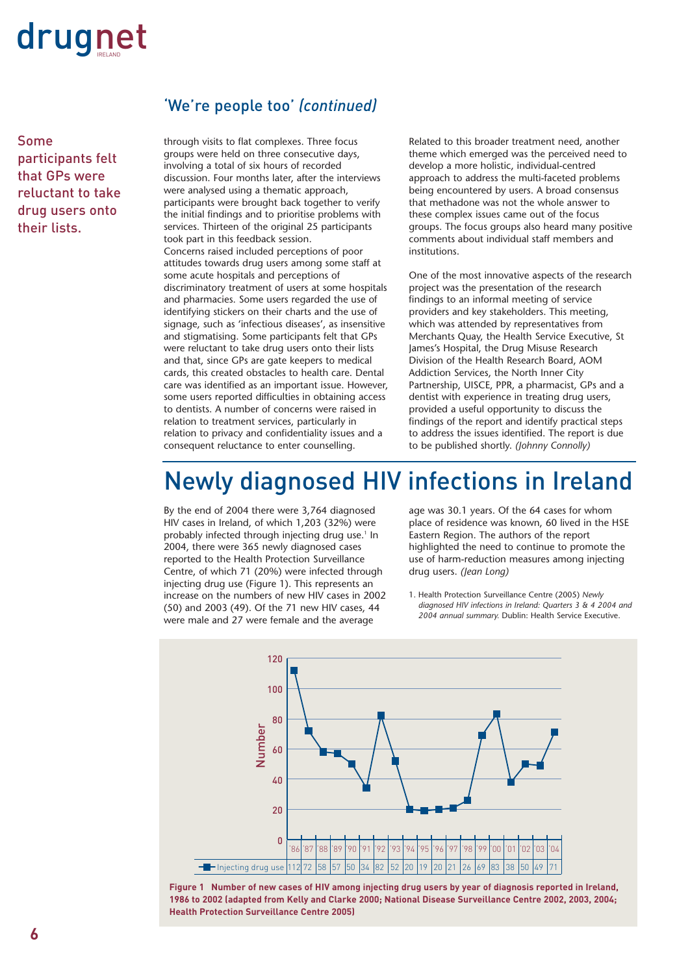Some participants felt that GPs were reluctant to take drug users onto their lists.

### 'We're people too' *(continued)*

through visits to flat complexes. Three focus groups were held on three consecutive days, involving a total of six hours of recorded discussion. Four months later, after the interviews were analysed using a thematic approach, participants were brought back together to verify the initial findings and to prioritise problems with services. Thirteen of the original 25 participants took part in this feedback session. Concerns raised included perceptions of poor attitudes towards drug users among some staff at some acute hospitals and perceptions of discriminatory treatment of users at some hospitals and pharmacies. Some users regarded the use of identifying stickers on their charts and the use of signage, such as 'infectious diseases', as insensitive and stigmatising. Some participants felt that GPs were reluctant to take drug users onto their lists and that, since GPs are gate keepers to medical cards, this created obstacles to health care. Dental care was identified as an important issue. However, some users reported difficulties in obtaining access to dentists. A number of concerns were raised in relation to treatment services, particularly in relation to privacy and confidentiality issues and a consequent reluctance to enter counselling.

Related to this broader treatment need, another theme which emerged was the perceived need to develop a more holistic, individual-centred approach to address the multi-faceted problems being encountered by users. A broad consensus that methadone was not the whole answer to these complex issues came out of the focus groups. The focus groups also heard many positive comments about individual staff members and institutions.

One of the most innovative aspects of the research project was the presentation of the research findings to an informal meeting of service providers and key stakeholders. This meeting, which was attended by representatives from Merchants Quay, the Health Service Executive, St James's Hospital, the Drug Misuse Research Division of the Health Research Board, AOM Addiction Services, the North Inner City Partnership, UISCE, PPR, a pharmacist, GPs and a dentist with experience in treating drug users, provided a useful opportunity to discuss the findings of the report and identify practical steps to address the issues identified. The report is due to be published shortly. *(Johnny Connolly)*

### Newly diagnosed HIV infections in Ireland

By the end of 2004 there were 3,764 diagnosed HIV cases in Ireland, of which 1,203 (32%) were probably infected through injecting drug use.<sup>1</sup> In 2004, there were 365 newly diagnosed cases reported to the Health Protection Surveillance Centre, of which 71 (20%) were infected through injecting drug use (Figure 1). This represents an increase on the numbers of new HIV cases in 2002 (50) and 2003 (49). Of the 71 new HIV cases, 44 were male and 27 were female and the average

age was 30.1 years. Of the 64 cases for whom place of residence was known, 60 lived in the HSE Eastern Region. The authors of the report highlighted the need to continue to promote the use of harm-reduction measures among injecting drug users. *(Jean Long)*

1. Health Protection Surveillance Centre (2005) *Newly diagnosed HIV infections in Ireland: Quarters 3 & 4 2004 and 2004 annual summary.* Dublin: Health Service Executive.



**Figure 1 Number of new cases of HIV among injecting drug users by year of diagnosis reported in Ireland, 1986 to 2002 (adapted from Kelly and Clarke 2000; National Disease Surveillance Centre 2002, 2003, 2004; Health Protection Surveillance Centre 2005)**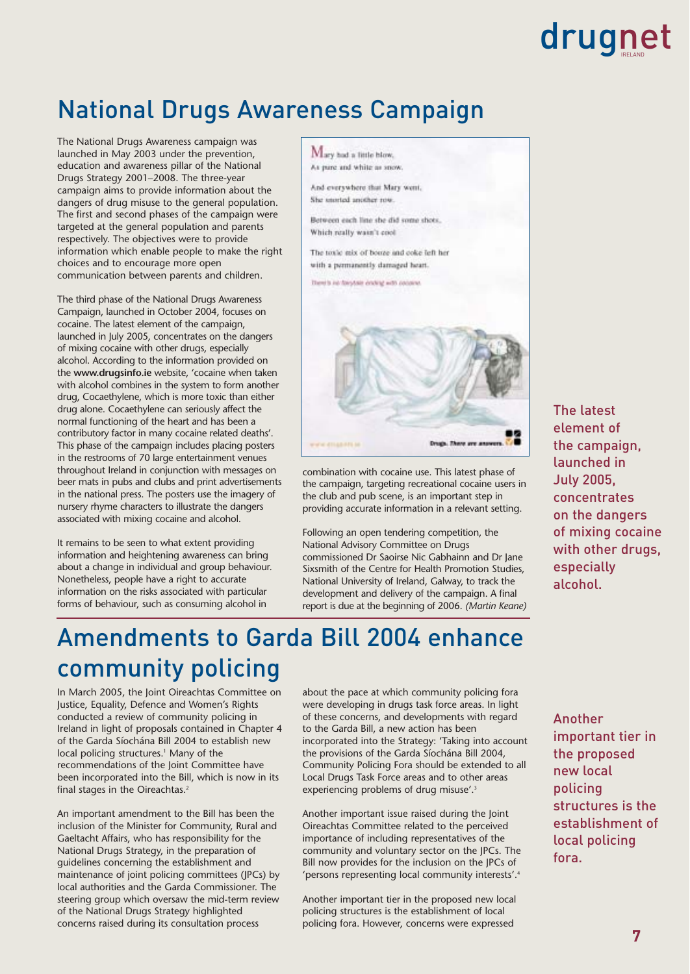### National Drugs Awareness Campaign

The National Drugs Awareness campaign was launched in May 2003 under the prevention, education and awareness pillar of the National Drugs Strategy 2001–2008. The three-year campaign aims to provide information about the dangers of drug misuse to the general population. The first and second phases of the campaign were targeted at the general population and parents respectively. The objectives were to provide information which enable people to make the right choices and to encourage more open communication between parents and children.

The third phase of the National Drugs Awareness Campaign, launched in October 2004, focuses on cocaine. The latest element of the campaign, launched in July 2005, concentrates on the dangers of mixing cocaine with other drugs, especially alcohol. According to the information provided on the **www.drugsinfo.ie** website, 'cocaine when taken with alcohol combines in the system to form another drug, Cocaethylene, which is more toxic than either drug alone. Cocaethylene can seriously affect the normal functioning of the heart and has been a contributory factor in many cocaine related deaths'. This phase of the campaign includes placing posters in the restrooms of 70 large entertainment venues throughout Ireland in conjunction with messages on beer mats in pubs and clubs and print advertisements in the national press. The posters use the imagery of nursery rhyme characters to illustrate the dangers associated with mixing cocaine and alcohol.

It remains to be seen to what extent providing information and heightening awareness can bring about a change in individual and group behaviour. Nonetheless, people have a right to accurate information on the risks associated with particular forms of behaviour, such as consuming alcohol in



combination with cocaine use. This latest phase of the campaign, targeting recreational cocaine users in the club and pub scene, is an important step in providing accurate information in a relevant setting.

Following an open tendering competition, the National Advisory Committee on Drugs commissioned Dr Saoirse Nic Gabhainn and Dr Jane Sixsmith of the Centre for Health Promotion Studies, National University of Ireland, Galway, to track the development and delivery of the campaign. A final report is due at the beginning of 2006. *(Martin Keane)*

### Amendments to Garda Bill 2004 enhance community policing

In March 2005, the Joint Oireachtas Committee on Justice, Equality, Defence and Women's Rights conducted a review of community policing in Ireland in light of proposals contained in Chapter 4 of the Garda Síochána Bill 2004 to establish new local policing structures.<sup>1</sup> Many of the recommendations of the Joint Committee have been incorporated into the Bill, which is now in its final stages in the Oireachtas.2

An important amendment to the Bill has been the inclusion of the Minister for Community, Rural and Gaeltacht Affairs, who has responsibility for the National Drugs Strategy, in the preparation of guidelines concerning the establishment and maintenance of joint policing committees (JPCs) by local authorities and the Garda Commissioner. The steering group which oversaw the mid-term review of the National Drugs Strategy highlighted concerns raised during its consultation process

about the pace at which community policing fora were developing in drugs task force areas. In light of these concerns, and developments with regard to the Garda Bill, a new action has been incorporated into the Strategy: 'Taking into account the provisions of the Garda Síochána Bill 2004, Community Policing Fora should be extended to all Local Drugs Task Force areas and to other areas experiencing problems of drug misuse'.<sup>3</sup>

Another important issue raised during the Joint Oireachtas Committee related to the perceived importance of including representatives of the community and voluntary sector on the JPCs. The Bill now provides for the inclusion on the JPCs of 'persons representing local community interests'.<sup>4</sup>

Another important tier in the proposed new local policing structures is the establishment of local policing fora. However, concerns were expressed

The latest element of the campaign, launched in July 2005, concentrates on the dangers of mixing cocaine with other drugs, especially alcohol.

Another important tier in the proposed new local policing structures is the establishment of local policing fora.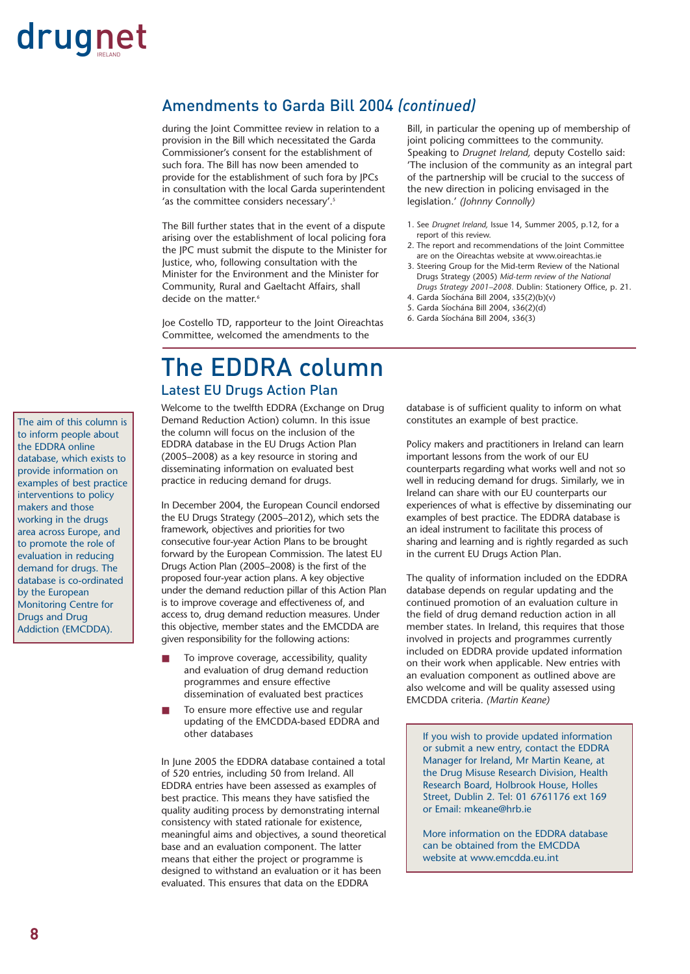### Amendments to Garda Bill 2004 *(continued)*

during the Joint Committee review in relation to a provision in the Bill which necessitated the Garda Commissioner's consent for the establishment of such fora. The Bill has now been amended to provide for the establishment of such fora by JPCs in consultation with the local Garda superintendent 'as the committee considers necessary'.<sup>5</sup>

The Bill further states that in the event of a dispute arising over the establishment of local policing fora the JPC must submit the dispute to the Minister for Justice, who, following consultation with the Minister for the Environment and the Minister for Community, Rural and Gaeltacht Affairs, shall decide on the matter.<sup>6</sup>

Joe Costello TD, rapporteur to the Joint Oireachtas Committee, welcomed the amendments to the

### The EDDRA column Latest EU Drugs Action Plan

Welcome to the twelfth EDDRA (Exchange on Drug Demand Reduction Action) column. In this issue the column will focus on the inclusion of the EDDRA database in the EU Drugs Action Plan (2005–2008) as a key resource in storing and disseminating information on evaluated best practice in reducing demand for drugs.

In December 2004, the European Council endorsed the EU Drugs Strategy (2005–2012), which sets the framework, objectives and priorities for two consecutive four-year Action Plans to be brought forward by the European Commission. The latest EU Drugs Action Plan (2005–2008) is the first of the proposed four-year action plans. A key objective under the demand reduction pillar of this Action Plan is to improve coverage and effectiveness of, and access to, drug demand reduction measures. Under this objective, member states and the EMCDDA are given responsibility for the following actions:

- To improve coverage, accessibility, quality and evaluation of drug demand reduction programmes and ensure effective dissemination of evaluated best practices
- To ensure more effective use and regular updating of the EMCDDA-based EDDRA and other databases

In June 2005 the EDDRA database contained a total of 520 entries, including 50 from Ireland. All EDDRA entries have been assessed as examples of best practice. This means they have satisfied the quality auditing process by demonstrating internal consistency with stated rationale for existence, meaningful aims and objectives, a sound theoretical base and an evaluation component. The latter means that either the project or programme is designed to withstand an evaluation or it has been evaluated. This ensures that data on the EDDRA

Bill, in particular the opening up of membership of joint policing committees to the community. Speaking to *Drugnet Ireland,* deputy Costello said: 'The inclusion of the community as an integral part of the partnership will be crucial to the success of the new direction in policing envisaged in the legislation.' *(Johnny Connolly)*

- 1. See *Drugnet Ireland,* Issue 14, Summer 2005, p.12, for a report of this review.
- 2. The report and recommendations of the Joint Committee are on the Oireachtas website at www.oireachtas.ie
- 3. Steering Group for the Mid-term Review of the National Drugs Strategy (2005) *Mid-term review of the National Drugs Strategy 2001–2008.* Dublin: Stationery Office, p. 21.
- 4. Garda Síochána Bill 2004, s35(2)(b)(v)
- 5. Garda Síochána Bill 2004, s36(2)(d)
- 6. Garda Síochána Bill 2004, s36(3)

database is of sufficient quality to inform on what constitutes an example of best practice.

Policy makers and practitioners in Ireland can learn important lessons from the work of our EU counterparts regarding what works well and not so well in reducing demand for drugs. Similarly, we in Ireland can share with our EU counterparts our experiences of what is effective by disseminating our examples of best practice. The EDDRA database is an ideal instrument to facilitate this process of sharing and learning and is rightly regarded as such in the current EU Drugs Action Plan.

The quality of information included on the EDDRA database depends on regular updating and the continued promotion of an evaluation culture in the field of drug demand reduction action in all member states. In Ireland, this requires that those involved in projects and programmes currently included on EDDRA provide updated information on their work when applicable. New entries with an evaluation component as outlined above are also welcome and will be quality assessed using EMCDDA criteria. *(Martin Keane)* 

If you wish to provide updated information or submit a new entry, contact the EDDRA Manager for Ireland, Mr Martin Keane, at the Drug Misuse Research Division, Health Research Board, Holbrook House, Holles Street, Dublin 2. Tel: 01 6761176 ext 169 or Email: mkeane@hrb.ie

More information on the EDDRA database can be obtained from the EMCDDA website at www.emcdda.eu.int

The aim of this column is to inform people about the EDDRA online database, which exists to provide information on examples of best practice interventions to policy makers and those working in the drugs area across Europe, and to promote the role of evaluation in reducing demand for drugs. The database is co-ordinated by the European Monitoring Centre for Drugs and Drug Addiction (EMCDDA).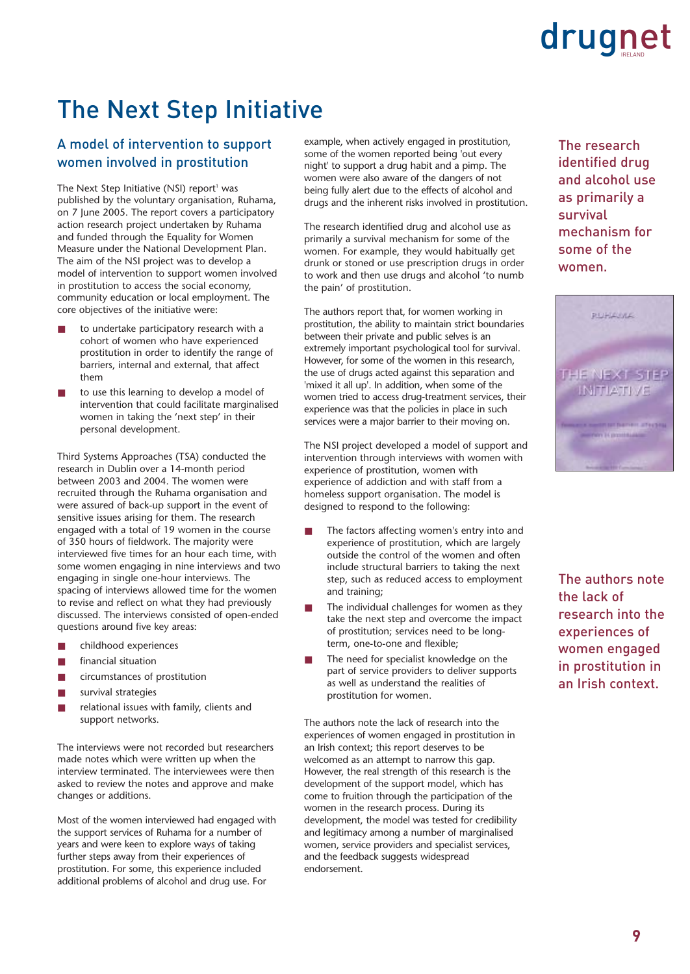### The Next Step Initiative

### A model of intervention to support women involved in prostitution

The Next Step Initiative (NSI) report<sup>1</sup> was published by the voluntary organisation, Ruhama, on 7 June 2005. The report covers a participatory action research project undertaken by Ruhama and funded through the Equality for Women Measure under the National Development Plan. The aim of the NSI project was to develop a model of intervention to support women involved in prostitution to access the social economy, community education or local employment. The core objectives of the initiative were:

- to undertake participatory research with a cohort of women who have experienced prostitution in order to identify the range of barriers, internal and external, that affect them
- to use this learning to develop a model of intervention that could facilitate marginalised women in taking the 'next step' in their personal development.

Third Systems Approaches (TSA) conducted the research in Dublin over a 14-month period between 2003 and 2004. The women were recruited through the Ruhama organisation and were assured of back-up support in the event of sensitive issues arising for them. The research engaged with a total of 19 women in the course of 350 hours of fieldwork. The majority were interviewed five times for an hour each time, with some women engaging in nine interviews and two engaging in single one-hour interviews. The spacing of interviews allowed time for the women to revise and reflect on what they had previously discussed. The interviews consisted of open-ended questions around five key areas:

- childhood experiences
- financial situation
- circumstances of prostitution
- survival strategies
- relational issues with family, clients and support networks.

The interviews were not recorded but researchers made notes which were written up when the interview terminated. The interviewees were then asked to review the notes and approve and make changes or additions.

Most of the women interviewed had engaged with the support services of Ruhama for a number of years and were keen to explore ways of taking further steps away from their experiences of prostitution. For some, this experience included additional problems of alcohol and drug use. For

example, when actively engaged in prostitution, some of the women reported being 'out every night' to support a drug habit and a pimp. The women were also aware of the dangers of not being fully alert due to the effects of alcohol and drugs and the inherent risks involved in prostitution.

The research identified drug and alcohol use as primarily a survival mechanism for some of the women. For example, they would habitually get drunk or stoned or use prescription drugs in order to work and then use drugs and alcohol 'to numb the pain' of prostitution.

The authors report that, for women working in prostitution, the ability to maintain strict boundaries between their private and public selves is an extremely important psychological tool for survival. However, for some of the women in this research, the use of drugs acted against this separation and 'mixed it all up'. In addition, when some of the women tried to access drug-treatment services, their experience was that the policies in place in such services were a major barrier to their moving on.

The NSI project developed a model of support and intervention through interviews with women with experience of prostitution, women with experience of addiction and with staff from a homeless support organisation. The model is designed to respond to the following:

- The factors affecting women's entry into and experience of prostitution, which are largely outside the control of the women and often include structural barriers to taking the next step, such as reduced access to employment and training;
- The individual challenges for women as they take the next step and overcome the impact of prostitution; services need to be longterm, one-to-one and flexible;
- The need for specialist knowledge on the part of service providers to deliver supports as well as understand the realities of prostitution for women.

The authors note the lack of research into the experiences of women engaged in prostitution in an Irish context; this report deserves to be welcomed as an attempt to narrow this gap. However, the real strength of this research is the development of the support model, which has come to fruition through the participation of the women in the research process. During its development, the model was tested for credibility and legitimacy among a number of marginalised women, service providers and specialist services, and the feedback suggests widespread endorsement.

The research identified drug and alcohol use as primarily a survival mechanism for some of the women.



The authors note the lack of research into the experiences of women engaged in prostitution in an Irish context.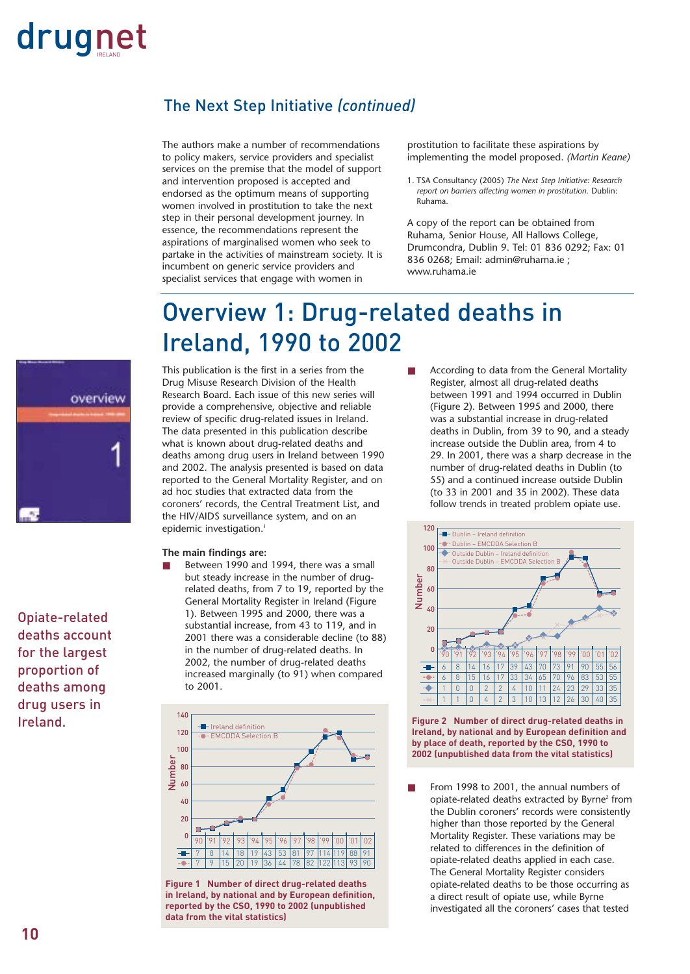### The Next Step Initiative *(continued)*

The authors make a number of recommendations to policy makers, service providers and specialist services on the premise that the model of support and intervention proposed is accepted and endorsed as the optimum means of supporting women involved in prostitution to take the next step in their personal development journey. In essence, the recommendations represent the aspirations of marginalised women who seek to partake in the activities of mainstream society. It is incumbent on generic service providers and specialist services that engage with women in

prostitution to facilitate these aspirations by implementing the model proposed. *(Martin Keane)*

1. TSA Consultancy (2005) *The Next Step Initiative: Research report on barriers affecting women in prostitution.* Dublin: Ruhama.

A copy of the report can be obtained from Ruhama, Senior House, All Hallows College, Drumcondra, Dublin 9. Tel: 01 836 0292; Fax: 01 836 0268; Email: admin@ruhama.ie ; www.ruhama.ie

### Overview 1: Drug-related deaths in Ireland, 1990 to 2002



Opiate-related deaths account for the largest proportion of deaths among drug users in Ireland.

### This publication is the first in a series from the Drug Misuse Research Division of the Health Research Board. Each issue of this new series will provide a comprehensive, objective and reliable review of specific drug-related issues in Ireland. The data presented in this publication describe what is known about drug-related deaths and deaths among drug users in Ireland between 1990 and 2002. The analysis presented is based on data reported to the General Mortality Register, and on ad hoc studies that extracted data from the coroners' records, the Central Treatment List, and the HIV/AIDS surveillance system, and on an epidemic investigation.<sup>1</sup>

### **The main findings are:**

Between 1990 and 1994, there was a small but steady increase in the number of drugrelated deaths, from 7 to 19, reported by the General Mortality Register in Ireland (Figure 1). Between 1995 and 2000, there was a substantial increase, from 43 to 119, and in 2001 there was a considerable decline (to 88) in the number of drug-related deaths. In 2002, the number of drug-related deaths increased marginally (to 91) when compared to 2001.



**Figure 1 Number of direct drug-related deaths in Ireland, by national and by European definition, reported by the CSO, 1990 to 2002 (unpublished data from the vital statistics)**

According to data from the General Mortality Register, almost all drug-related deaths between 1991 and 1994 occurred in Dublin (Figure 2). Between 1995 and 2000, there was a substantial increase in drug-related deaths in Dublin, from 39 to 90, and a steady increase outside the Dublin area, from 4 to 29. In 2001, there was a sharp decrease in the number of drug-related deaths in Dublin (to 55) and a continued increase outside Dublin (to 33 in 2001 and 35 in 2002). These data follow trends in treated problem opiate use.



**Figure 2 Number of direct drug-related deaths in Ireland, by national and by European definition and by place of death, reported by the CSO, 1990 to 2002 (unpublished data from the vital statistics)**

From 1998 to 2001, the annual numbers of opiate-related deaths extracted by Byrne<sup>2</sup> from the Dublin coroners' records were consistently higher than those reported by the General Mortality Register. These variations may be related to differences in the definition of opiate-related deaths applied in each case. The General Mortality Register considers opiate-related deaths to be those occurring as a direct result of opiate use, while Byrne investigated all the coroners' cases that tested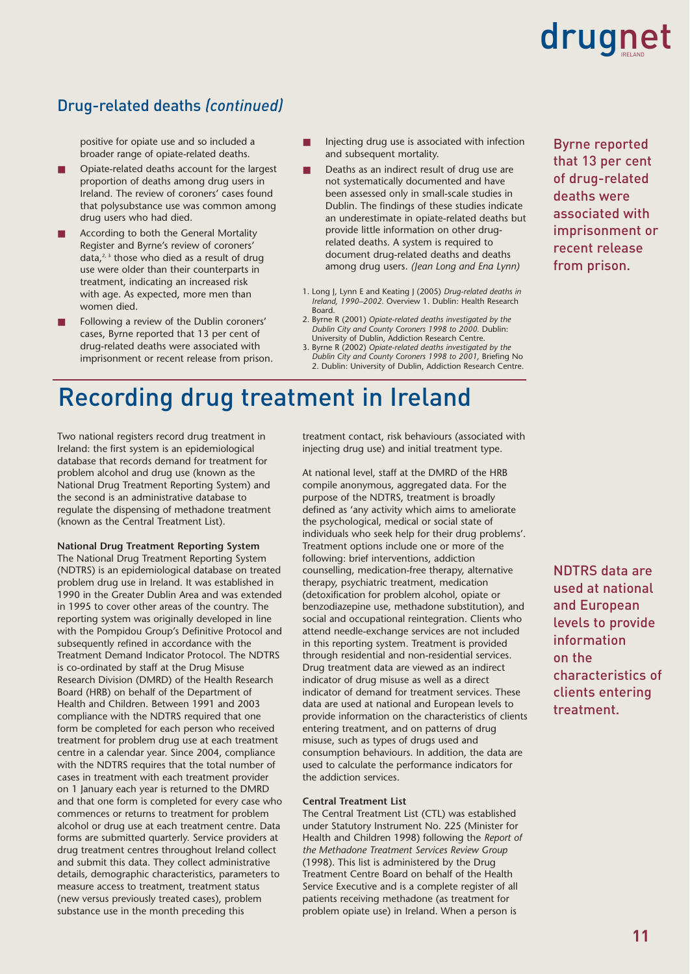### Drug-related deaths *(continued)*

positive for opiate use and so included a broader range of opiate-related deaths.

- Opiate-related deaths account for the largest proportion of deaths among drug users in Ireland. The review of coroners' cases found that polysubstance use was common among drug users who had died.
- According to both the General Mortality Register and Byrne's review of coroners' data, $2,3$  those who died as a result of drug use were older than their counterparts in treatment, indicating an increased risk with age. As expected, more men than women died.
- Following a review of the Dublin coroners' cases, Byrne reported that 13 per cent of drug-related deaths were associated with imprisonment or recent release from prison.
- Injecting drug use is associated with infection and subsequent mortality.
- Deaths as an indirect result of drug use are not systematically documented and have been assessed only in small-scale studies in Dublin. The findings of these studies indicate an underestimate in opiate-related deaths but provide little information on other drugrelated deaths. A system is required to document drug-related deaths and deaths among drug users. *(Jean Long and Ena Lynn)*
- 1. Long J, Lynn E and Keating J (2005) *Drug-related deaths in Ireland, 1990–2002.* Overview 1. Dublin: Health Research Board.
- 2. Byrne R (2001) *Opiate-related deaths investigated by the Dublin City and County Coroners 1998 to 2000.* Dublin: University of Dublin, Addiction Research Centre.
- 3. Byrne R (2002) *Opiate-related deaths investigated by the Dublin City and County Coroners 1998 to 2001,* Briefing No 2. Dublin: University of Dublin, Addiction Research Centre.

### Recording drug treatment in Ireland

Two national registers record drug treatment in Ireland: the first system is an epidemiological database that records demand for treatment for problem alcohol and drug use (known as the National Drug Treatment Reporting System) and the second is an administrative database to regulate the dispensing of methadone treatment (known as the Central Treatment List).

**National Drug Treatment Reporting System** The National Drug Treatment Reporting System (NDTRS) is an epidemiological database on treated problem drug use in Ireland. It was established in 1990 in the Greater Dublin Area and was extended in 1995 to cover other areas of the country. The reporting system was originally developed in line with the Pompidou Group's Definitive Protocol and subsequently refined in accordance with the Treatment Demand Indicator Protocol. The NDTRS is co-ordinated by staff at the Drug Misuse Research Division (DMRD) of the Health Research Board (HRB) on behalf of the Department of Health and Children. Between 1991 and 2003 compliance with the NDTRS required that one form be completed for each person who received treatment for problem drug use at each treatment centre in a calendar year. Since 2004, compliance with the NDTRS requires that the total number of cases in treatment with each treatment provider on 1 January each year is returned to the DMRD and that one form is completed for every case who commences or returns to treatment for problem alcohol or drug use at each treatment centre. Data forms are submitted quarterly. Service providers at drug treatment centres throughout Ireland collect and submit this data. They collect administrative details, demographic characteristics, parameters to measure access to treatment, treatment status (new versus previously treated cases), problem substance use in the month preceding this

treatment contact, risk behaviours (associated with injecting drug use) and initial treatment type.

At national level, staff at the DMRD of the HRB compile anonymous, aggregated data. For the purpose of the NDTRS, treatment is broadly defined as 'any activity which aims to ameliorate the psychological, medical or social state of individuals who seek help for their drug problems'. Treatment options include one or more of the following: brief interventions, addiction counselling, medication-free therapy, alternative therapy, psychiatric treatment, medication (detoxification for problem alcohol, opiate or benzodiazepine use, methadone substitution), and social and occupational reintegration. Clients who attend needle-exchange services are not included in this reporting system. Treatment is provided through residential and non-residential services. Drug treatment data are viewed as an indirect indicator of drug misuse as well as a direct indicator of demand for treatment services. These data are used at national and European levels to provide information on the characteristics of clients entering treatment, and on patterns of drug misuse, such as types of drugs used and consumption behaviours. In addition, the data are used to calculate the performance indicators for the addiction services.

### **Central Treatment List**

The Central Treatment List (CTL) was established under Statutory Instrument No. 225 (Minister for Health and Children 1998) following the *Report of the Methadone Treatment Services Review Group* (1998). This list is administered by the Drug Treatment Centre Board on behalf of the Health Service Executive and is a complete register of all patients receiving methadone (as treatment for problem opiate use) in Ireland. When a person is

Byrne reported that 13 per cent of drug-related deaths were associated with imprisonment or recent release from prison.

NDTRS data are used at national and European levels to provide information on the characteristics of clients entering treatment.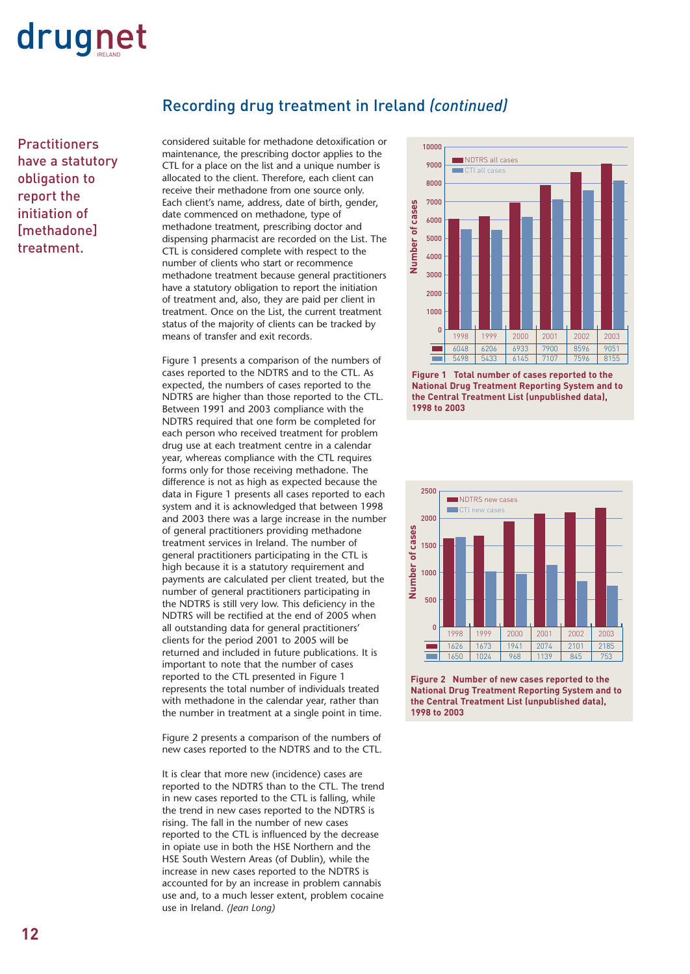

**Practitioners** have a statutory obligation to report the initiation of [methadone] treatment.

### Recording drug treatment in Ireland *(continued)*

considered suitable for methadone detoxification or maintenance, the prescribing doctor applies to the CTL for a place on the list and a unique number is allocated to the client. Therefore, each client can receive their methadone from one source only. Each client's name, address, date of birth, gender, date commenced on methadone, type of methadone treatment, prescribing doctor and dispensing pharmacist are recorded on the List. The CTL is considered complete with respect to the number of clients who start or recommence methadone treatment because general practitioners have a statutory obligation to report the initiation of treatment and, also, they are paid per client in treatment. Once on the List, the current treatment status of the majority of clients can be tracked by means of transfer and exit records.

Figure 1 presents a comparison of the numbers of cases reported to the NDTRS and to the CTL. As expected, the numbers of cases reported to the NDTRS are higher than those reported to the CTL. Between 1991 and 2003 compliance with the NDTRS required that one form be completed for each person who received treatment for problem drug use at each treatment centre in a calendar year, whereas compliance with the CTL requires forms only for those receiving methadone. The difference is not as high as expected because the data in Figure 1 presents all cases reported to each system and it is acknowledged that between 1998 and 2003 there was a large increase in the number of general practitioners providing methadone treatment services in Ireland. The number of general practitioners participating in the CTL is high because it is a statutory requirement and payments are calculated per client treated, but the number of general practitioners participating in the NDTRS is still very low. This deficiency in the NDTRS will be rectified at the end of 2005 when all outstanding data for general practitioners' clients for the period 2001 to 2005 will be returned and included in future publications. It is important to note that the number of cases reported to the CTL presented in Figure 1 represents the total number of individuals treated with methadone in the calendar year, rather than the number in treatment at a single point in time.

Figure 2 presents a comparison of the numbers of new cases reported to the NDTRS and to the CTL.

It is clear that more new (incidence) cases are reported to the NDTRS than to the CTL. The trend in new cases reported to the CTL is falling, while the trend in new cases reported to the NDTRS is rising. The fall in the number of new cases reported to the CTL is influenced by the decrease in opiate use in both the HSE Northern and the HSE South Western Areas (of Dublin), while the increase in new cases reported to the NDTRS is accounted for by an increase in problem cannabis use and, to a much lesser extent, problem cocaine use in Ireland. *(Jean Long)*



**Figure 1 Total number of cases reported to the National Drug Treatment Reporting System and to the Central Treatment List (unpublished data), 1998 to 2003** 



**Figure 2 Number of new cases reported to the National Drug Treatment Reporting System and to the Central Treatment List (unpublished data), 1998 to 2003**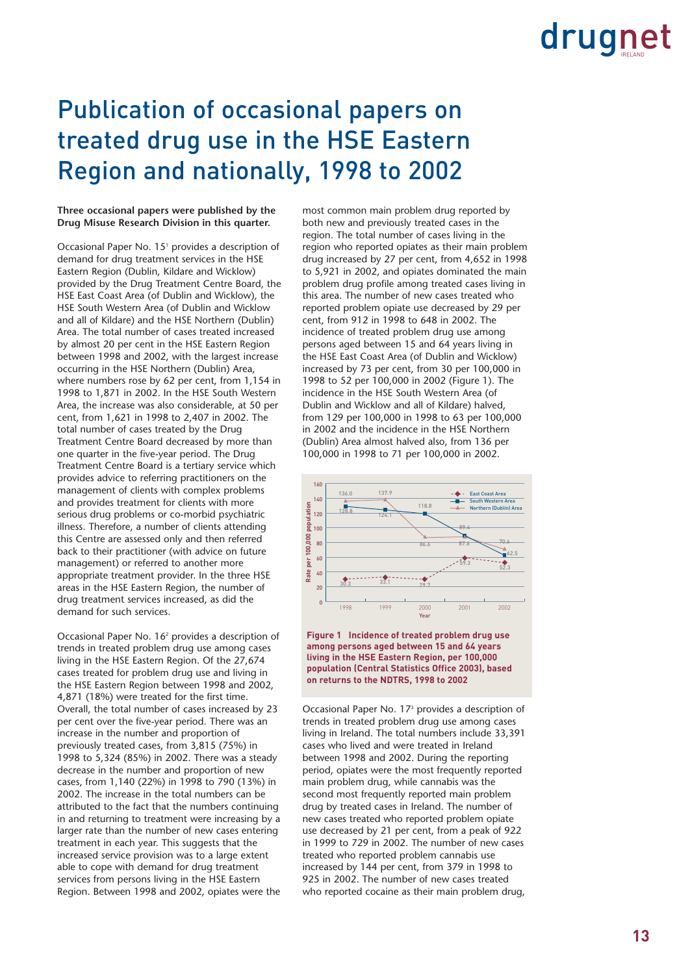### Publication of occasional papers on treated drug use in the HSE Eastern Region and nationally, 1998 to 2002

### **Three occasional papers were published by the Drug Misuse Research Division in this quarter.**

Occasional Paper No. 15<sup>1</sup> provides a description of demand for drug treatment services in the HSE Eastern Region (Dublin, Kildare and Wicklow) provided by the Drug Treatment Centre Board, the HSE East Coast Area (of Dublin and Wicklow), the HSE South Western Area (of Dublin and Wicklow and all of Kildare) and the HSE Northern (Dublin) Area. The total number of cases treated increased by almost 20 per cent in the HSE Eastern Region between 1998 and 2002, with the largest increase occurring in the HSE Northern (Dublin) Area, where numbers rose by 62 per cent, from 1,154 in 1998 to 1,871 in 2002. In the HSE South Western Area, the increase was also considerable, at 50 per cent, from 1,621 in 1998 to 2,407 in 2002. The total number of cases treated by the Drug Treatment Centre Board decreased by more than one quarter in the five-year period. The Drug Treatment Centre Board is a tertiary service which provides advice to referring practitioners on the management of clients with complex problems and provides treatment for clients with more serious drug problems or co-morbid psychiatric illness. Therefore, a number of clients attending this Centre are assessed only and then referred back to their practitioner (with advice on future management) or referred to another more appropriate treatment provider. In the three HSE areas in the HSE Eastern Region, the number of drug treatment services increased, as did the demand for such services.

Occasional Paper No. 162 provides a description of trends in treated problem drug use among cases living in the HSE Eastern Region. Of the 27,674 cases treated for problem drug use and living in the HSE Eastern Region between 1998 and 2002, 4,871 (18%) were treated for the first time. Overall, the total number of cases increased by 23 per cent over the five-year period. There was an increase in the number and proportion of previously treated cases, from 3,815 (75%) in 1998 to 5,324 (85%) in 2002. There was a steady decrease in the number and proportion of new cases, from 1,140 (22%) in 1998 to 790 (13%) in 2002. The increase in the total numbers can be attributed to the fact that the numbers continuing in and returning to treatment were increasing by a larger rate than the number of new cases entering treatment in each year. This suggests that the increased service provision was to a large extent able to cope with demand for drug treatment services from persons living in the HSE Eastern Region. Between 1998 and 2002, opiates were the most common main problem drug reported by both new and previously treated cases in the region. The total number of cases living in the region who reported opiates as their main problem drug increased by 27 per cent, from 4,652 in 1998 to 5,921 in 2002, and opiates dominated the main problem drug profile among treated cases living in this area. The number of new cases treated who reported problem opiate use decreased by 29 per cent, from 912 in 1998 to 648 in 2002. The incidence of treated problem drug use among persons aged between 15 and 64 years living in the HSE East Coast Area (of Dublin and Wicklow) increased by 73 per cent, from 30 per 100,000 in 1998 to 52 per 100,000 in 2002 (Figure 1). The incidence in the HSE South Western Area (of Dublin and Wicklow and all of Kildare) halved, from 129 per 100,000 in 1998 to 63 per 100,000 in 2002 and the incidence in the HSE Northern (Dublin) Area almost halved also, from 136 per 100,000 in 1998 to 71 per 100,000 in 2002.





Occasional Paper No. 173 provides a description of trends in treated problem drug use among cases living in Ireland. The total numbers include 33,391 cases who lived and were treated in Ireland between 1998 and 2002. During the reporting period, opiates were the most frequently reported main problem drug, while cannabis was the second most frequently reported main problem drug by treated cases in Ireland. The number of new cases treated who reported problem opiate use decreased by 21 per cent, from a peak of 922 in 1999 to 729 in 2002. The number of new cases treated who reported problem cannabis use increased by 144 per cent, from 379 in 1998 to 925 in 2002. The number of new cases treated who reported cocaine as their main problem drug,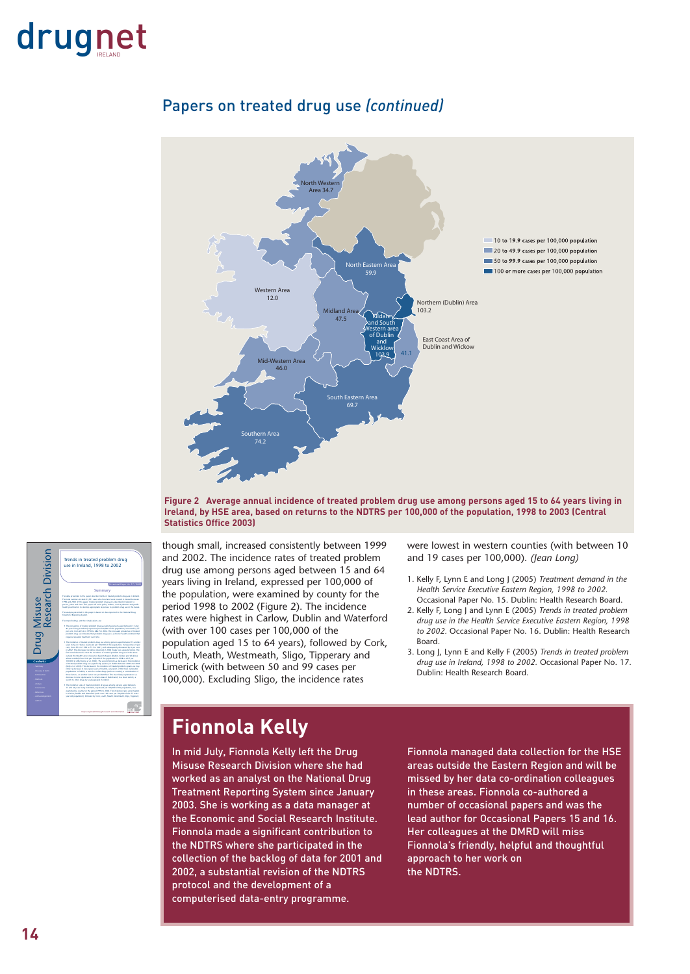



### Papers on treated drug use *(continued)*

**Figure 2 Average annual incidence of treated problem drug use among persons aged 15 to 64 years living in Ireland, by HSE area, based on returns to the NDTRS per 100,000 of the population, 1998 to 2003 (Central Statistics Office 2003)**



though small, increased consistently between 1999 and 2002. The incidence rates of treated problem drug use among persons aged between 15 and 64 years living in Ireland, expressed per 100,000 of the population, were examined by county for the period 1998 to 2002 (Figure 2). The incidence rates were highest in Carlow, Dublin and Waterford (with over 100 cases per 100,000 of the population aged 15 to 64 years), followed by Cork, Louth, Meath, Westmeath, Sligo, Tipperary and Limerick (with between 50 and 99 cases per 100,000). Excluding Sligo, the incidence rates

were lowest in western counties (with between 10 and 19 cases per 100,000). *(Jean Long)*

- 1. Kelly F, Lynn E and Long J (2005) *Treatment demand in the Health Service Executive Eastern Region, 1998 to 2002.* Occasional Paper No. 15. Dublin: Health Research Board.
- 2. Kelly F, Long J and Lynn E (2005) *Trends in treated problem drug use in the Health Service Executive Eastern Region, 1998 to 2002.* Occasional Paper No. 16. Dublin: Health Research Board.
- 3. Long J, Lynn E and Kelly F (2005) *Trends in treated problem drug use in Ireland, 1998 to 2002.* Occasional Paper No. 17. Dublin: Health Research Board.

### **Fionnola Kelly**

In mid July, Fionnola Kelly left the Drug Misuse Research Division where she had worked as an analyst on the National Drug Treatment Reporting System since January 2003. She is working as a data manager at the Economic and Social Research Institute. Fionnola made a significant contribution to the NDTRS where she participated in the collection of the backlog of data for 2001 and 2002, a substantial revision of the NDTRS protocol and the development of a computerised data-entry programme.

Fionnola managed data collection for the HSE areas outside the Eastern Region and will be missed by her data co-ordination colleagues in these areas. Fionnola co-authored a number of occasional papers and was the lead author for Occasional Papers 15 and 16. Her colleagues at the DMRD will miss Fionnola's friendly, helpful and thoughtful approach to her work on the NDTRS.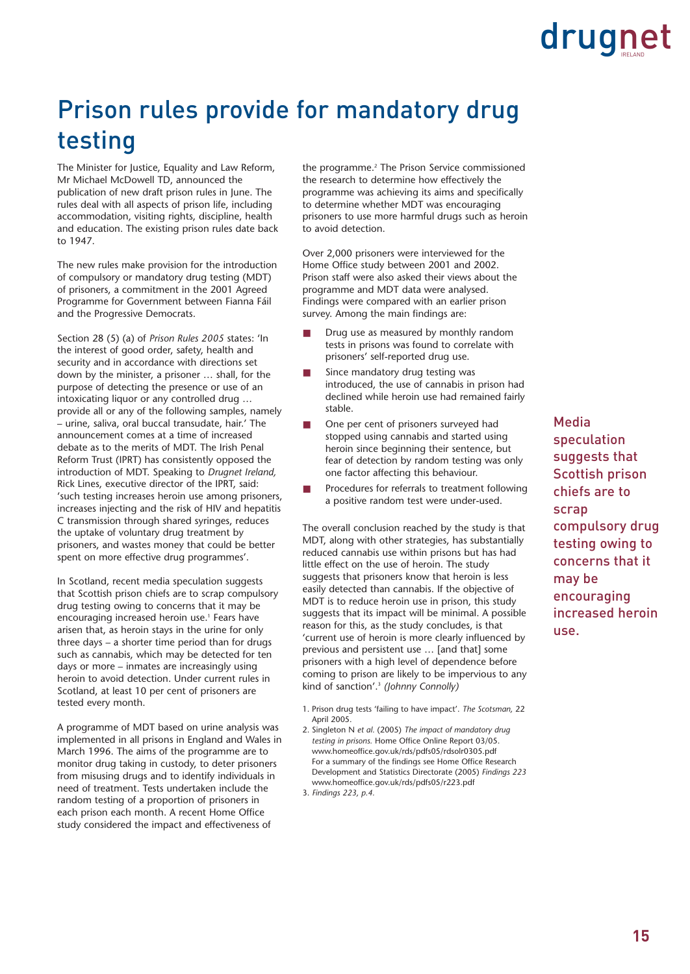### Prison rules provide for mandatory drug testing

The Minister for Justice, Equality and Law Reform, Mr Michael McDowell TD, announced the publication of new draft prison rules in June. The rules deal with all aspects of prison life, including accommodation, visiting rights, discipline, health and education. The existing prison rules date back to 1947.

The new rules make provision for the introduction of compulsory or mandatory drug testing (MDT) of prisoners, a commitment in the 2001 Agreed Programme for Government between Fianna Fáil and the Progressive Democrats.

Section 28 (5) (a) of *Prison Rules 2005* states: 'In the interest of good order, safety, health and security and in accordance with directions set down by the minister, a prisoner … shall, for the purpose of detecting the presence or use of an intoxicating liquor or any controlled drug … provide all or any of the following samples, namely – urine, saliva, oral buccal transudate, hair.' The announcement comes at a time of increased debate as to the merits of MDT. The Irish Penal Reform Trust (IPRT) has consistently opposed the introduction of MDT. Speaking to *Drugnet Ireland,* Rick Lines, executive director of the IPRT, said: 'such testing increases heroin use among prisoners, increases injecting and the risk of HIV and hepatitis C transmission through shared syringes, reduces the uptake of voluntary drug treatment by prisoners, and wastes money that could be better spent on more effective drug programmes'.

In Scotland, recent media speculation suggests that Scottish prison chiefs are to scrap compulsory drug testing owing to concerns that it may be encouraging increased heroin use.<sup>1</sup> Fears have arisen that, as heroin stays in the urine for only three days – a shorter time period than for drugs such as cannabis, which may be detected for ten days or more – inmates are increasingly using heroin to avoid detection. Under current rules in Scotland, at least 10 per cent of prisoners are tested every month.

A programme of MDT based on urine analysis was implemented in all prisons in England and Wales in March 1996. The aims of the programme are to monitor drug taking in custody, to deter prisoners from misusing drugs and to identify individuals in need of treatment. Tests undertaken include the random testing of a proportion of prisoners in each prison each month. A recent Home Office study considered the impact and effectiveness of

the programme.<sup>2</sup> The Prison Service commissioned the research to determine how effectively the programme was achieving its aims and specifically to determine whether MDT was encouraging prisoners to use more harmful drugs such as heroin to avoid detection.

Over 2,000 prisoners were interviewed for the Home Office study between 2001 and 2002. Prison staff were also asked their views about the programme and MDT data were analysed. Findings were compared with an earlier prison survey. Among the main findings are:

- Drug use as measured by monthly random tests in prisons was found to correlate with prisoners' self-reported drug use.
- Since mandatory drug testing was introduced, the use of cannabis in prison had declined while heroin use had remained fairly stable.
- One per cent of prisoners surveyed had stopped using cannabis and started using heroin since beginning their sentence, but fear of detection by random testing was only one factor affecting this behaviour.
- Procedures for referrals to treatment following a positive random test were under-used.

The overall conclusion reached by the study is that MDT, along with other strategies, has substantially reduced cannabis use within prisons but has had little effect on the use of heroin. The study suggests that prisoners know that heroin is less easily detected than cannabis. If the objective of MDT is to reduce heroin use in prison, this study suggests that its impact will be minimal. A possible reason for this, as the study concludes, is that 'current use of heroin is more clearly influenced by previous and persistent use … [and that] some prisoners with a high level of dependence before coming to prison are likely to be impervious to any kind of sanction'.3 *(Johnny Connolly)*

- 1. Prison drug tests 'failing to have impact'. *The Scotsman,* 22 April 2005.
- 2. Singleton N *et al.* (2005) *The impact of mandatory drug testing in prisons.* Home Office Online Report 03/05. www.homeoffice.gov.uk/rds/pdfs05/rdsolr0305.pdf For a summary of the findings see Home Office Research Development and Statistics Directorate (2005) *Findings 223* www.homeoffice.gov.uk/rds/pdfs05/r223.pdf
- 3. *Findings 223, p.4.*

### Media speculation suggests that Scottish prison chiefs are to scrap compulsory drug testing owing to concerns that it may be encouraging increased heroin use.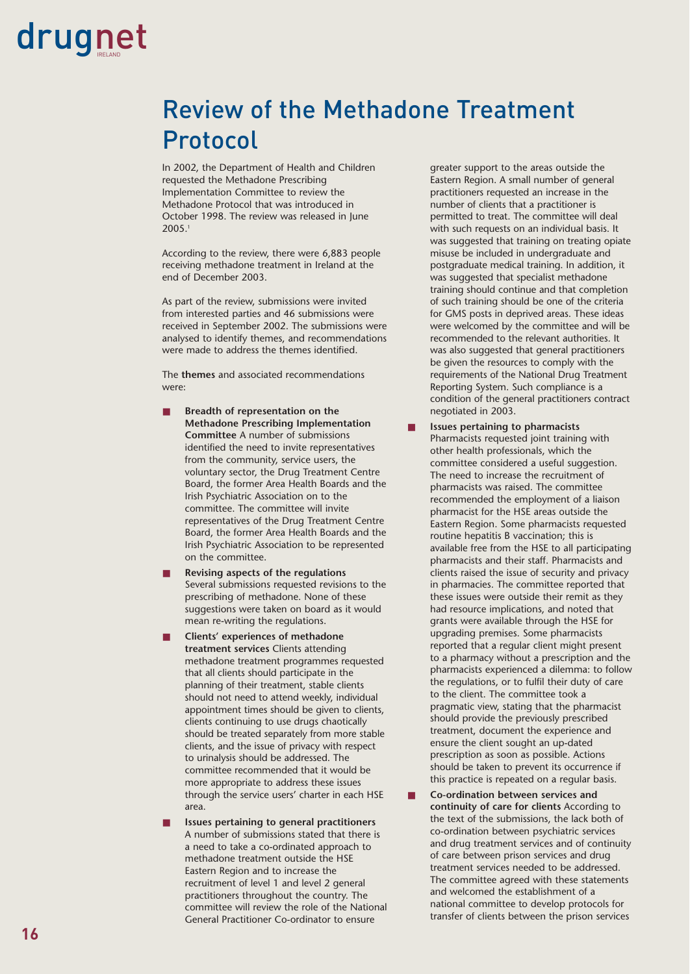### Review of the Methadone Treatment Protocol

In 2002, the Department of Health and Children requested the Methadone Prescribing Implementation Committee to review the Methadone Protocol that was introduced in October 1998. The review was released in June 2005.1

According to the review, there were 6,883 people receiving methadone treatment in Ireland at the end of December 2003.

As part of the review, submissions were invited from interested parties and 46 submissions were received in September 2002. The submissions were analysed to identify themes, and recommendations were made to address the themes identified.

The **themes** and associated recommendations were:

- **Breadth of representation on the Methadone Prescribing Implementation Committee** A number of submissions identified the need to invite representatives from the community, service users, the voluntary sector, the Drug Treatment Centre Board, the former Area Health Boards and the Irish Psychiatric Association on to the committee. The committee will invite representatives of the Drug Treatment Centre Board, the former Area Health Boards and the Irish Psychiatric Association to be represented on the committee.
- **Revising aspects of the regulations** Several submissions requested revisions to the prescribing of methadone. None of these suggestions were taken on board as it would mean re-writing the regulations.
- **Clients' experiences of methadone treatment services** Clients attending methadone treatment programmes requested that all clients should participate in the planning of their treatment, stable clients should not need to attend weekly, individual appointment times should be given to clients, clients continuing to use drugs chaotically should be treated separately from more stable clients, and the issue of privacy with respect to urinalysis should be addressed. The committee recommended that it would be more appropriate to address these issues through the service users' charter in each HSE area.
- **Issues pertaining to general practitioners** A number of submissions stated that there is a need to take a co-ordinated approach to methadone treatment outside the HSE Eastern Region and to increase the recruitment of level 1 and level 2 general practitioners throughout the country. The committee will review the role of the National General Practitioner Co-ordinator to ensure

greater support to the areas outside the Eastern Region. A small number of general practitioners requested an increase in the number of clients that a practitioner is permitted to treat. The committee will deal with such requests on an individual basis. It was suggested that training on treating opiate misuse be included in undergraduate and postgraduate medical training. In addition, it was suggested that specialist methadone training should continue and that completion of such training should be one of the criteria for GMS posts in deprived areas. These ideas were welcomed by the committee and will be recommended to the relevant authorities. It was also suggested that general practitioners be given the resources to comply with the requirements of the National Drug Treatment Reporting System. Such compliance is a condition of the general practitioners contract negotiated in 2003.

- **Issues pertaining to pharmacists** Pharmacists requested joint training with other health professionals, which the committee considered a useful suggestion. The need to increase the recruitment of pharmacists was raised. The committee recommended the employment of a liaison pharmacist for the HSE areas outside the Eastern Region. Some pharmacists requested routine hepatitis B vaccination; this is available free from the HSE to all participating pharmacists and their staff. Pharmacists and clients raised the issue of security and privacy in pharmacies. The committee reported that these issues were outside their remit as they had resource implications, and noted that grants were available through the HSE for upgrading premises. Some pharmacists reported that a regular client might present to a pharmacy without a prescription and the pharmacists experienced a dilemma: to follow the regulations, or to fulfil their duty of care to the client. The committee took a pragmatic view, stating that the pharmacist should provide the previously prescribed treatment, document the experience and ensure the client sought an up-dated prescription as soon as possible. Actions should be taken to prevent its occurrence if this practice is repeated on a regular basis.
- **Co-ordination between services and continuity of care for clients** According to the text of the submissions, the lack both of co-ordination between psychiatric services and drug treatment services and of continuity of care between prison services and drug treatment services needed to be addressed. The committee agreed with these statements and welcomed the establishment of a national committee to develop protocols for transfer of clients between the prison services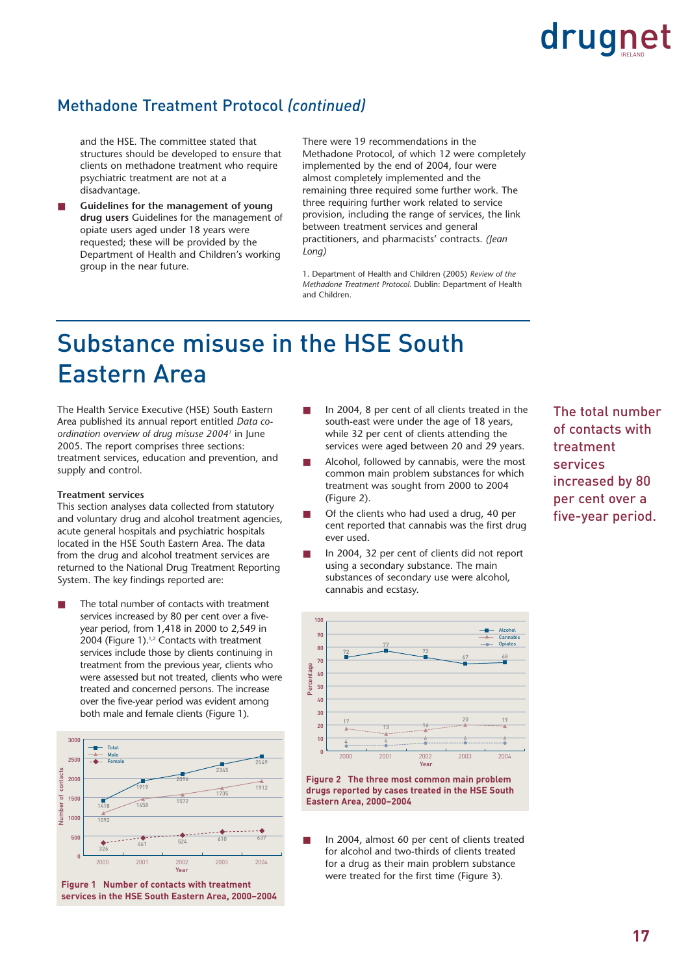### Methadone Treatment Protocol *(continued)*

- and the HSE. The committee stated that structures should be developed to ensure that clients on methadone treatment who require psychiatric treatment are not at a disadvantage.
- **Guidelines for the management of young drug users** Guidelines for the management of opiate users aged under 18 years were requested; these will be provided by the Department of Health and Children's working group in the near future.

There were 19 recommendations in the Methadone Protocol, of which 12 were completely implemented by the end of 2004, four were almost completely implemented and the remaining three required some further work. The three requiring further work related to service provision, including the range of services, the link between treatment services and general practitioners, and pharmacists' contracts. *(Jean Long)*

1. Department of Health and Children (2005) *Review of the Methadone Treatment Protocol.* Dublin: Department of Health and Children.

### Substance misuse in the HSE South Eastern Area

The Health Service Executive (HSE) South Eastern Area published its annual report entitled *Data coordination overview of drug misuse 20041* in June 2005. The report comprises three sections: treatment services, education and prevention, and supply and control.

### **Treatment services**

This section analyses data collected from statutory and voluntary drug and alcohol treatment agencies, acute general hospitals and psychiatric hospitals located in the HSE South Eastern Area. The data from the drug and alcohol treatment services are returned to the National Drug Treatment Reporting System. The key findings reported are:

The total number of contacts with treatment services increased by 80 per cent over a fiveyear period, from 1,418 in 2000 to 2,549 in 2004 (Figure 1).<sup>1,2</sup> Contacts with treatment services include those by clients continuing in treatment from the previous year, clients who were assessed but not treated, clients who were treated and concerned persons. The increase over the five-year period was evident among both male and female clients (Figure 1).



**Figure 1 Number of contacts with treatment services in the HSE South Eastern Area, 2000–2004**

- In 2004, 8 per cent of all clients treated in the south-east were under the age of 18 years, while 32 per cent of clients attending the services were aged between 20 and 29 years.
- Alcohol, followed by cannabis, were the most common main problem substances for which treatment was sought from 2000 to 2004 (Figure 2).
- Of the clients who had used a drug, 40 per cent reported that cannabis was the first drug ever used.
- In 2004, 32 per cent of clients did not report using a secondary substance. The main substances of secondary use were alcohol, cannabis and ecstasy.



**Figure 2 The three most common main problem drugs reported by cases treated in the HSE South Eastern Area, 2000–2004**

In 2004, almost 60 per cent of clients treated for alcohol and two-thirds of clients treated for a drug as their main problem substance were treated for the first time (Figure 3).

The total number of contacts with treatment services increased by 80 per cent over a five-year period.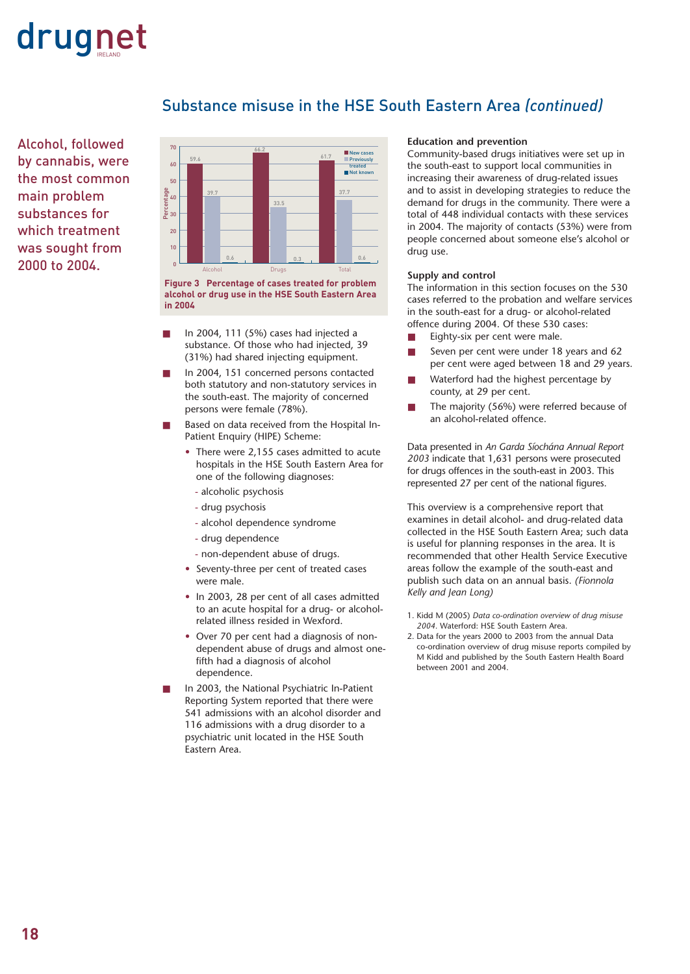

Substance misuse in the HSE South Eastern Area *(continued)*

Alcohol, followed by cannabis, were the most common main problem substances for which treatment was sought from 2000 to 2004.



**Figure 3 Percentage of cases treated for problem alcohol or drug use in the HSE South Eastern Area in 2004**

- In 2004, 111 (5%) cases had injected a substance. Of those who had injected, 39 (31%) had shared injecting equipment.
- In 2004, 151 concerned persons contacted both statutory and non-statutory services in the south-east. The majority of concerned persons were female (78%).
- Based on data received from the Hospital In-Patient Enquiry (HIPE) Scheme:
	- There were 2,155 cases admitted to acute hospitals in the HSE South Eastern Area for one of the following diagnoses:
		- alcoholic psychosis
		- drug psychosis
		- alcohol dependence syndrome
		- drug dependence
		- non-dependent abuse of drugs.
	- Seventy-three per cent of treated cases were male.
	- In 2003, 28 per cent of all cases admitted to an acute hospital for a drug- or alcoholrelated illness resided in Wexford.
	- Over 70 per cent had a diagnosis of nondependent abuse of drugs and almost onefifth had a diagnosis of alcohol dependence.
- In 2003, the National Psychiatric In-Patient Reporting System reported that there were 541 admissions with an alcohol disorder and 116 admissions with a drug disorder to a psychiatric unit located in the HSE South Eastern Area.

#### **Education and prevention**

Community-based drugs initiatives were set up in the south-east to support local communities in increasing their awareness of drug-related issues and to assist in developing strategies to reduce the demand for drugs in the community. There were a total of 448 individual contacts with these services in 2004. The majority of contacts (53%) were from people concerned about someone else's alcohol or drug use.

### **Supply and control**

The information in this section focuses on the 530 cases referred to the probation and welfare services in the south-east for a drug- or alcohol-related offence during 2004. Of these 530 cases:

- Eighty-six per cent were male.
- Seven per cent were under 18 years and 62 per cent were aged between 18 and 29 years.
- Waterford had the highest percentage by county, at 29 per cent.
- The majority (56%) were referred because of an alcohol-related offence.

Data presented in *An Garda Síochána Annual Report 2003* indicate that 1,631 persons were prosecuted for drugs offences in the south-east in 2003. This represented 27 per cent of the national figures.

This overview is a comprehensive report that examines in detail alcohol- and drug-related data collected in the HSE South Eastern Area; such data is useful for planning responses in the area. It is recommended that other Health Service Executive areas follow the example of the south-east and publish such data on an annual basis. *(Fionnola Kelly and Jean Long)*

- 1. Kidd M (2005) *Data co-ordination overview of drug misuse 2004.* Waterford: HSE South Eastern Area.
- 2. Data for the years 2000 to 2003 from the annual Data co-ordination overview of drug misuse reports compiled by M Kidd and published by the South Eastern Health Board between 2001 and 2004.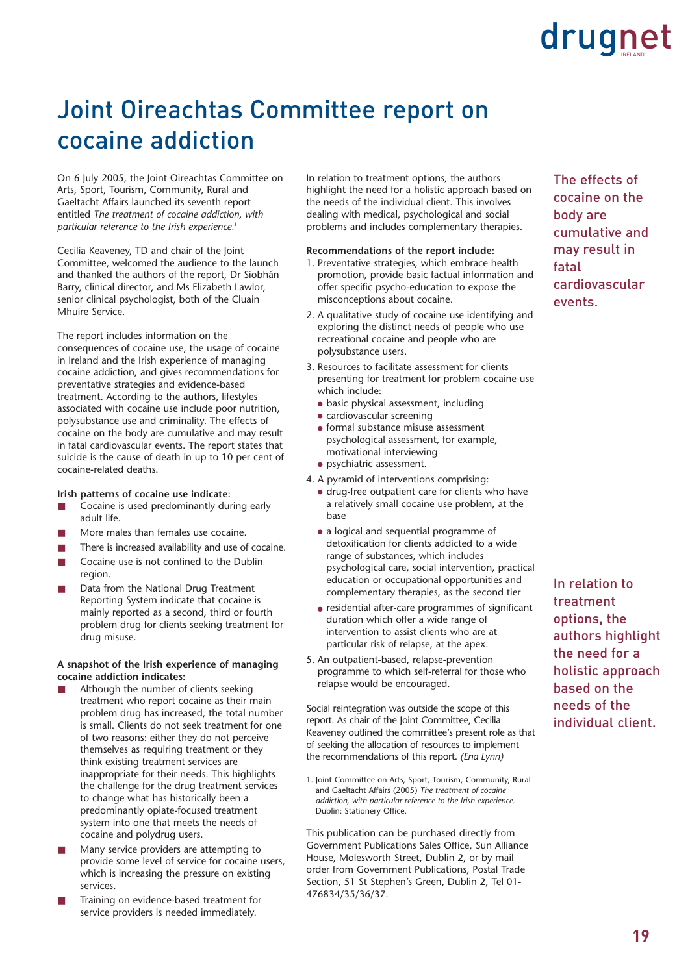### Joint Oireachtas Committee report on cocaine addiction

On 6 July 2005, the Joint Oireachtas Committee on Arts, Sport, Tourism, Community, Rural and Gaeltacht Affairs launched its seventh report entitled *The treatment of cocaine addiction, with particular reference to the Irish experience.*<sup>1</sup>

Cecilia Keaveney, TD and chair of the Joint Committee, welcomed the audience to the launch and thanked the authors of the report, Dr Siobhán Barry, clinical director, and Ms Elizabeth Lawlor, senior clinical psychologist, both of the Cluain Mhuire Service.

The report includes information on the consequences of cocaine use, the usage of cocaine in Ireland and the Irish experience of managing cocaine addiction, and gives recommendations for preventative strategies and evidence-based treatment. According to the authors, lifestyles associated with cocaine use include poor nutrition, polysubstance use and criminality. The effects of cocaine on the body are cumulative and may result in fatal cardiovascular events. The report states that suicide is the cause of death in up to 10 per cent of cocaine-related deaths.

### **Irish patterns of cocaine use indicate:**

- Cocaine is used predominantly during early adult life.
- More males than females use cocaine.
- There is increased availability and use of cocaine.
- Cocaine use is not confined to the Dublin region.
- Data from the National Drug Treatment Reporting System indicate that cocaine is mainly reported as a second, third or fourth problem drug for clients seeking treatment for drug misuse.

### **A snapshot of the Irish experience of managing cocaine addiction indicates:**

- Although the number of clients seeking treatment who report cocaine as their main problem drug has increased, the total number is small. Clients do not seek treatment for one of two reasons: either they do not perceive themselves as requiring treatment or they think existing treatment services are inappropriate for their needs. This highlights the challenge for the drug treatment services to change what has historically been a predominantly opiate-focused treatment system into one that meets the needs of cocaine and polydrug users.
- Many service providers are attempting to provide some level of service for cocaine users, which is increasing the pressure on existing services.
- Training on evidence-based treatment for service providers is needed immediately.

In relation to treatment options, the authors highlight the need for a holistic approach based on the needs of the individual client. This involves dealing with medical, psychological and social problems and includes complementary therapies.

#### **Recommendations of the report include:**

- 1. Preventative strategies, which embrace health promotion, provide basic factual information and offer specific psycho-education to expose the misconceptions about cocaine.
- 2. A qualitative study of cocaine use identifying and exploring the distinct needs of people who use recreational cocaine and people who are polysubstance users.
- 3. Resources to facilitate assessment for clients presenting for treatment for problem cocaine use which include:
	- basic physical assessment, including
	- cardiovascular screening
	- $\bullet$  formal substance misuse assessment psychological assessment, for example, motivational interviewing
	- psychiatric assessment.
- 4. A pyramid of interventions comprising:
	- drug-free outpatient care for clients who have a relatively small cocaine use problem, at the base
	- a logical and sequential programme of detoxification for clients addicted to a wide range of substances, which includes psychological care, social intervention, practical education or occupational opportunities and complementary therapies, as the second tier
	- residential after-care programmes of significant duration which offer a wide range of intervention to assist clients who are at particular risk of relapse, at the apex.
- 5. An outpatient-based, relapse-prevention programme to which self-referral for those who relapse would be encouraged.

Social reintegration was outside the scope of this report. As chair of the Joint Committee, Cecilia Keaveney outlined the committee's present role as that of seeking the allocation of resources to implement the recommendations of this report. *(Ena Lynn)*

1. Joint Committee on Arts, Sport, Tourism, Community, Rural and Gaeltacht Affairs (2005) *The treatment of cocaine addiction, with particular reference to the Irish experience.* Dublin: Stationery Office.

This publication can be purchased directly from Government Publications Sales Office, Sun Alliance House, Molesworth Street, Dublin 2, or by mail order from Government Publications, Postal Trade Section, 51 St Stephen's Green, Dublin 2, Tel 01- 476834/35/36/37.

The effects of cocaine on the body are cumulative and may result in fatal cardiovascular events.

In relation to treatment options, the authors highlight the need for a holistic approach based on the needs of the individual client.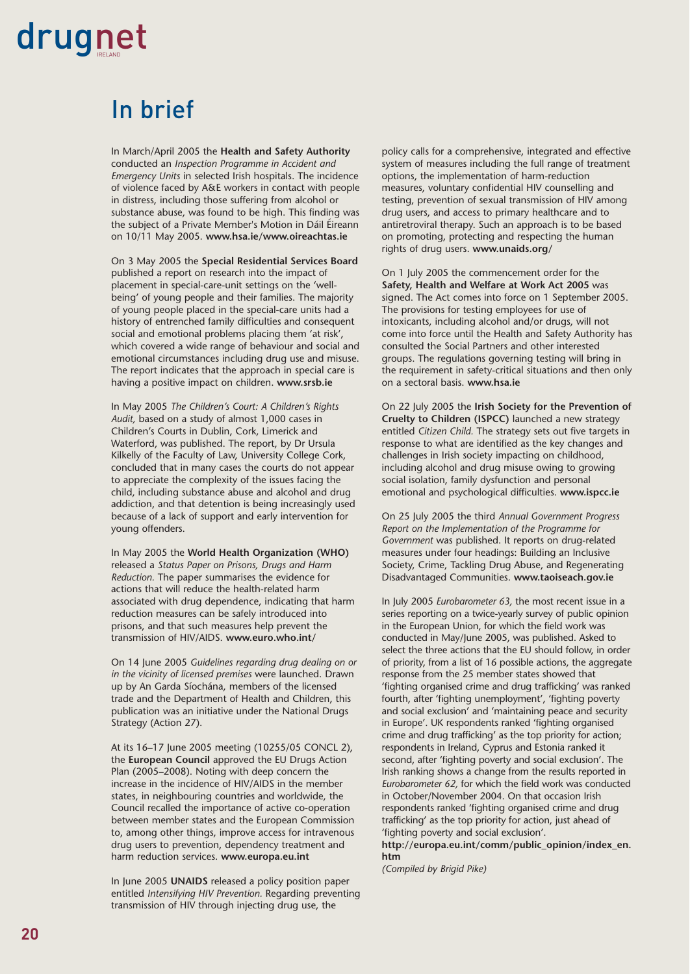### In brief

In March/April 2005 the **Health and Safety Authority** conducted an *Inspection Programme in Accident and Emergency Units* in selected Irish hospitals. The incidence of violence faced by A&E workers in contact with people in distress, including those suffering from alcohol or substance abuse, was found to be high. This finding was the subject of a Private Member's Motion in Dáil Éireann on 10/11 May 2005. **www.hsa.ie/www.oireachtas.ie**

On 3 May 2005 the **Special Residential Services Board** published a report on research into the impact of placement in special-care-unit settings on the 'wellbeing' of young people and their families. The majority of young people placed in the special-care units had a history of entrenched family difficulties and consequent social and emotional problems placing them 'at risk', which covered a wide range of behaviour and social and emotional circumstances including drug use and misuse. The report indicates that the approach in special care is having a positive impact on children. **www.srsb.ie**

In May 2005 *The Children's Court: A Children's Rights Audit,* based on a study of almost 1,000 cases in Children's Courts in Dublin, Cork, Limerick and Waterford, was published. The report, by Dr Ursula Kilkelly of the Faculty of Law, University College Cork, concluded that in many cases the courts do not appear to appreciate the complexity of the issues facing the child, including substance abuse and alcohol and drug addiction, and that detention is being increasingly used because of a lack of support and early intervention for young offenders.

In May 2005 the **World Health Organization (WHO)** released a *Status Paper on Prisons, Drugs and Harm Reduction.* The paper summarises the evidence for actions that will reduce the health-related harm associated with drug dependence, indicating that harm reduction measures can be safely introduced into prisons, and that such measures help prevent the transmission of HIV/AIDS. **www.euro.who.int/**

On 14 June 2005 *Guidelines regarding drug dealing on or in the vicinity of licensed premises* were launched. Drawn up by An Garda Síochána, members of the licensed trade and the Department of Health and Children, this publication was an initiative under the National Drugs Strategy (Action 27).

At its 16–17 June 2005 meeting (10255/05 CONCL 2), the **European Council** approved the EU Drugs Action Plan (2005–2008). Noting with deep concern the increase in the incidence of HIV/AIDS in the member states, in neighbouring countries and worldwide, the Council recalled the importance of active co-operation between member states and the European Commission to, among other things, improve access for intravenous drug users to prevention, dependency treatment and harm reduction services. **www.europa.eu.int** 

In June 2005 **UNAIDS** released a policy position paper entitled *Intensifying HIV Prevention.* Regarding preventing transmission of HIV through injecting drug use, the

policy calls for a comprehensive, integrated and effective system of measures including the full range of treatment options, the implementation of harm-reduction measures, voluntary confidential HIV counselling and testing, prevention of sexual transmission of HIV among drug users, and access to primary healthcare and to antiretroviral therapy. Such an approach is to be based on promoting, protecting and respecting the human rights of drug users. **www.unaids.org/** 

On 1 July 2005 the commencement order for the **Safety, Health and Welfare at Work Act 2005** was signed. The Act comes into force on 1 September 2005. The provisions for testing employees for use of intoxicants, including alcohol and/or drugs, will not come into force until the Health and Safety Authority has consulted the Social Partners and other interested groups. The regulations governing testing will bring in the requirement in safety-critical situations and then only on a sectoral basis. **www.hsa.ie** 

On 22 July 2005 the **Irish Society for the Prevention of Cruelty to Children (ISPCC)** launched a new strategy entitled *Citizen Child.* The strategy sets out five targets in response to what are identified as the key changes and challenges in Irish society impacting on childhood, including alcohol and drug misuse owing to growing social isolation, family dysfunction and personal emotional and psychological difficulties. **www.ispcc.ie** 

On 25 July 2005 the third *Annual Government Progress Report on the Implementation of the Programme for Government* was published. It reports on drug-related measures under four headings: Building an Inclusive Society, Crime, Tackling Drug Abuse, and Regenerating Disadvantaged Communities. **www.taoiseach.gov.ie** 

In July 2005 *Eurobarometer 63,* the most recent issue in a series reporting on a twice-yearly survey of public opinion in the European Union, for which the field work was conducted in May/June 2005, was published. Asked to select the three actions that the EU should follow, in order of priority, from a list of 16 possible actions, the aggregate response from the 25 member states showed that 'fighting organised crime and drug trafficking' was ranked fourth, after 'fighting unemployment', 'fighting poverty and social exclusion' and 'maintaining peace and security in Europe'. UK respondents ranked 'fighting organised crime and drug trafficking' as the top priority for action; respondents in Ireland, Cyprus and Estonia ranked it second, after 'fighting poverty and social exclusion'. The Irish ranking shows a change from the results reported in *Eurobarometer 62,* for which the field work was conducted in October/November 2004. On that occasion Irish respondents ranked 'fighting organised crime and drug trafficking' as the top priority for action, just ahead of 'fighting poverty and social exclusion'.

**http://europa.eu.int/comm/public\_opinion/index\_en. htm** 

*(Compiled by Brigid Pike)*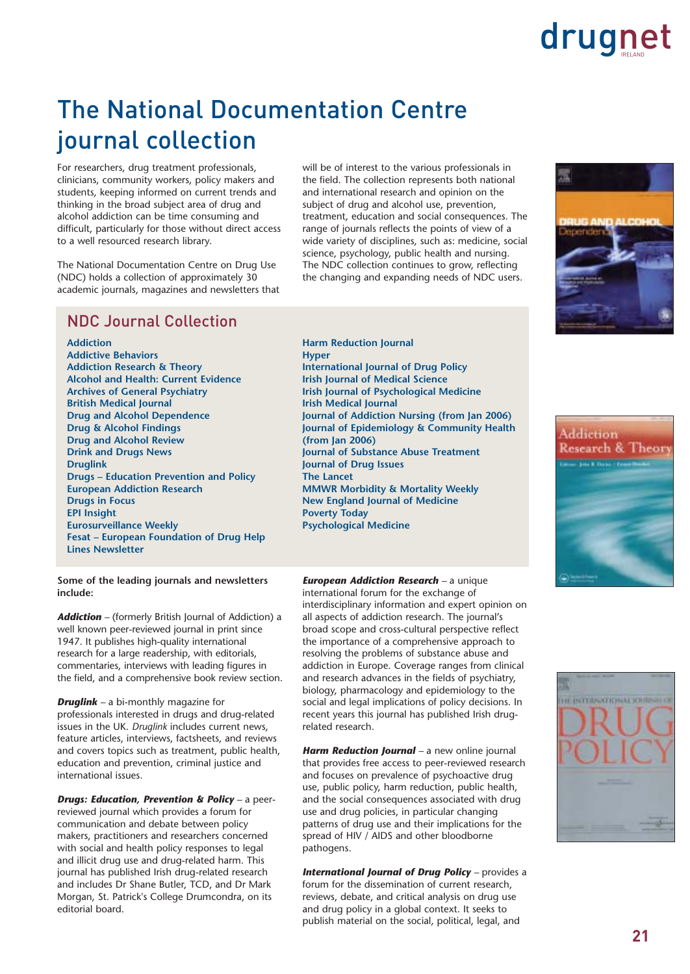### The National Documentation Centre journal collection

For researchers, drug treatment professionals, clinicians, community workers, policy makers and students, keeping informed on current trends and thinking in the broad subject area of drug and alcohol addiction can be time consuming and difficult, particularly for those without direct access to a well resourced research library.

The National Documentation Centre on Drug Use (NDC) holds a collection of approximately 30 academic journals, magazines and newsletters that will be of interest to the various professionals in the field. The collection represents both national and international research and opinion on the subject of drug and alcohol use, prevention, treatment, education and social consequences. The range of journals reflects the points of view of a wide variety of disciplines, such as: medicine, social science, psychology, public health and nursing. The NDC collection continues to grow, reflecting the changing and expanding needs of NDC users.



**Addiction Addictive Behaviors Addiction Research & Theory Alcohol and Health: Current Evidence Archives of General Psychiatry British Medical Journal Drug and Alcohol Dependence Drug & Alcohol Findings Drug and Alcohol Review Drink and Drugs News Druglink Drugs – Education Prevention and Policy European Addiction Research Drugs in Focus EPI Insight Eurosurveillance Weekly Fesat – European Foundation of Drug Help Lines Newsletter**

**Some of the leading journals and newsletters include:** 

*Addiction –* (formerly British Journal of Addiction) a well known peer-reviewed journal in print since 1947. It publishes high-quality international research for a large readership, with editorials, commentaries, interviews with leading figures in the field, and a comprehensive book review section.

*Druglink –* a bi-monthly magazine for professionals interested in drugs and drug-related issues in the UK. *Druglink* includes current news, feature articles, interviews, factsheets, and reviews and covers topics such as treatment, public health, education and prevention, criminal justice and international issues.

*Drugs: Education, Prevention & Policy –* a peerreviewed journal which provides a forum for communication and debate between policy makers, practitioners and researchers concerned with social and health policy responses to legal and illicit drug use and drug-related harm. This journal has published Irish drug-related research and includes Dr Shane Butler, TCD, and Dr Mark Morgan, St. Patrick's College Drumcondra, on its editorial board.

**Harm Reduction Journal Hyper International Journal of Drug Policy Irish Journal of Medical Science Irish Journal of Psychological Medicine Irish Medical Journal Journal of Addiction Nursing (from Jan 2006) Journal of Epidemiology & Community Health (from Jan 2006) Journal of Substance Abuse Treatment Journal of Drug Issues The Lancet MMWR Morbidity & Mortality Weekly New England Journal of Medicine Poverty Today Psychological Medicine**

*European Addiction Research –* a unique international forum for the exchange of interdisciplinary information and expert opinion on all aspects of addiction research. The journal's broad scope and cross-cultural perspective reflect the importance of a comprehensive approach to resolving the problems of substance abuse and addiction in Europe. Coverage ranges from clinical and research advances in the fields of psychiatry, biology, pharmacology and epidemiology to the social and legal implications of policy decisions. In recent years this journal has published Irish drug-

related research.

*Harm Reduction Journal –* a new online journal that provides free access to peer-reviewed research and focuses on prevalence of psychoactive drug use, public policy, harm reduction, public health, and the social consequences associated with drug use and drug policies, in particular changing patterns of drug use and their implications for the spread of HIV / AIDS and other bloodborne pathogens.

*International Journal of Drug Policy –* provides a forum for the dissemination of current research, reviews, debate, and critical analysis on drug use and drug policy in a global context. It seeks to publish material on the social, political, legal, and





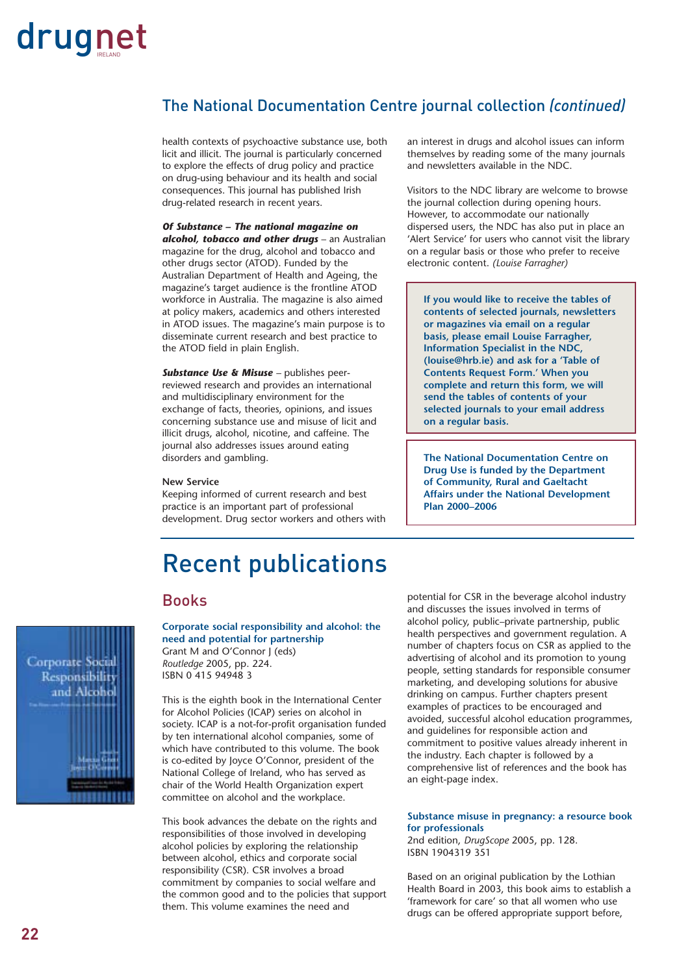### The National Documentation Centre journal collection *(continued)*

health contexts of psychoactive substance use, both licit and illicit. The journal is particularly concerned to explore the effects of drug policy and practice on drug-using behaviour and its health and social consequences. This journal has published Irish drug-related research in recent years.

### *Of Substance – The national magazine on*

*alcohol, tobacco and other drugs* – an Australian magazine for the drug, alcohol and tobacco and other drugs sector (ATOD). Funded by the Australian Department of Health and Ageing, the magazine's target audience is the frontline ATOD workforce in Australia. The magazine is also aimed at policy makers, academics and others interested in ATOD issues. The magazine's main purpose is to disseminate current research and best practice to the ATOD field in plain English.

*Substance Use & Misuse –* publishes peerreviewed research and provides an international and multidisciplinary environment for the exchange of facts, theories, opinions, and issues concerning substance use and misuse of licit and illicit drugs, alcohol, nicotine, and caffeine. The journal also addresses issues around eating disorders and gambling.

### **New Service**

Keeping informed of current research and best practice is an important part of professional development. Drug sector workers and others with an interest in drugs and alcohol issues can inform themselves by reading some of the many journals and newsletters available in the NDC.

Visitors to the NDC library are welcome to browse the journal collection during opening hours. However, to accommodate our nationally dispersed users, the NDC has also put in place an 'Alert Service' for users who cannot visit the library on a regular basis or those who prefer to receive electronic content. *(Louise Farragher)*

**If you would like to receive the tables of contents of selected journals, newsletters or magazines via email on a regular basis, please email Louise Farragher, Information Specialist in the NDC, (louise@hrb.ie) and ask for a 'Table of Contents Request Form.' When you complete and return this form, we will send the tables of contents of your selected journals to your email address on a regular basis.**

**The National Documentation Centre on Drug Use is funded by the Department of Community, Rural and Gaeltacht Affairs under the National Development Plan 2000–2006**

### Recent publications

### Books

Corporate Social Responsibility and Alcohol

**Corporate social responsibility and alcohol: the need and potential for partnership** Grant M and O'Connor J (eds)

*Routledge* 2005, pp. 224. ISBN 0 415 94948 3

This is the eighth book in the International Center for Alcohol Policies (ICAP) series on alcohol in society. ICAP is a not-for-profit organisation funded by ten international alcohol companies, some of which have contributed to this volume. The book is co-edited by Joyce O'Connor, president of the National College of Ireland, who has served as chair of the World Health Organization expert committee on alcohol and the workplace.

This book advances the debate on the rights and responsibilities of those involved in developing alcohol policies by exploring the relationship between alcohol, ethics and corporate social responsibility (CSR). CSR involves a broad commitment by companies to social welfare and the common good and to the policies that support them. This volume examines the need and

potential for CSR in the beverage alcohol industry and discusses the issues involved in terms of alcohol policy, public–private partnership, public health perspectives and government regulation. A number of chapters focus on CSR as applied to the advertising of alcohol and its promotion to young people, setting standards for responsible consumer marketing, and developing solutions for abusive drinking on campus. Further chapters present examples of practices to be encouraged and avoided, successful alcohol education programmes, and guidelines for responsible action and commitment to positive values already inherent in the industry. Each chapter is followed by a comprehensive list of references and the book has an eight-page index.

### **Substance misuse in pregnancy: a resource book for professionals**

2nd edition, *DrugScope* 2005, pp. 128. ISBN 1904319 351

Based on an original publication by the Lothian Health Board in 2003, this book aims to establish a 'framework for care' so that all women who use drugs can be offered appropriate support before,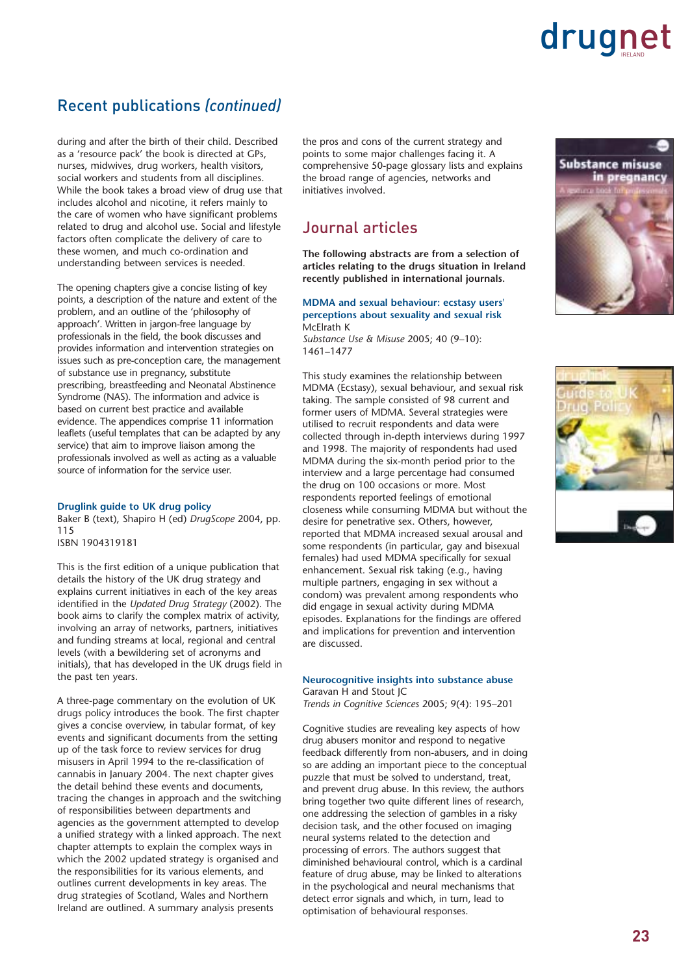### Recent publications *(continued)*

during and after the birth of their child. Described as a 'resource pack' the book is directed at GPs, nurses, midwives, drug workers, health visitors, social workers and students from all disciplines. While the book takes a broad view of drug use that includes alcohol and nicotine, it refers mainly to the care of women who have significant problems related to drug and alcohol use. Social and lifestyle factors often complicate the delivery of care to these women, and much co-ordination and understanding between services is needed.

The opening chapters give a concise listing of key points, a description of the nature and extent of the problem, and an outline of the 'philosophy of approach'. Written in jargon-free language by professionals in the field, the book discusses and provides information and intervention strategies on issues such as pre-conception care, the management of substance use in pregnancy, substitute prescribing, breastfeeding and Neonatal Abstinence Syndrome (NAS). The information and advice is based on current best practice and available evidence. The appendices comprise 11 information leaflets (useful templates that can be adapted by any service) that aim to improve liaison among the professionals involved as well as acting as a valuable source of information for the service user.

#### **Druglink guide to UK drug policy**

Baker B (text), Shapiro H (ed) *DrugScope* 2004, pp. 115 ISBN 1904319181

This is the first edition of a unique publication that details the history of the UK drug strategy and explains current initiatives in each of the key areas identified in the *Updated Drug Strategy* (2002). The book aims to clarify the complex matrix of activity, involving an array of networks, partners, initiatives and funding streams at local, regional and central levels (with a bewildering set of acronyms and initials), that has developed in the UK drugs field in the past ten years.

A three-page commentary on the evolution of UK drugs policy introduces the book. The first chapter gives a concise overview, in tabular format, of key events and significant documents from the setting up of the task force to review services for drug misusers in April 1994 to the re-classification of cannabis in January 2004. The next chapter gives the detail behind these events and documents, tracing the changes in approach and the switching of responsibilities between departments and agencies as the government attempted to develop a unified strategy with a linked approach. The next chapter attempts to explain the complex ways in which the 2002 updated strategy is organised and the responsibilities for its various elements, and outlines current developments in key areas. The drug strategies of Scotland, Wales and Northern Ireland are outlined. A summary analysis presents

the pros and cons of the current strategy and points to some major challenges facing it. A comprehensive 50-page glossary lists and explains the broad range of agencies, networks and initiatives involved.

### Journal articles

**The following abstracts are from a selection of articles relating to the drugs situation in Ireland recently published in international journals.** 

#### **MDMA and sexual behaviour: ecstasy users' perceptions about sexuality and sexual risk** McElrath K

*Substance Use & Misuse* 2005; 40 (9–10): 1461–1477

This study examines the relationship between MDMA (Ecstasy), sexual behaviour, and sexual risk taking. The sample consisted of 98 current and former users of MDMA. Several strategies were utilised to recruit respondents and data were collected through in-depth interviews during 1997 and 1998. The majority of respondents had used MDMA during the six-month period prior to the interview and a large percentage had consumed the drug on 100 occasions or more. Most respondents reported feelings of emotional closeness while consuming MDMA but without the desire for penetrative sex. Others, however, reported that MDMA increased sexual arousal and some respondents (in particular, gay and bisexual females) had used MDMA specifically for sexual enhancement. Sexual risk taking (e.g., having multiple partners, engaging in sex without a condom) was prevalent among respondents who did engage in sexual activity during MDMA episodes. Explanations for the findings are offered and implications for prevention and intervention are discussed.

#### **Neurocognitive insights into substance abuse** Garavan H and Stout JC

*Trends in Cognitive Sciences* 2005; 9(4): 195–201

Cognitive studies are revealing key aspects of how drug abusers monitor and respond to negative feedback differently from non-abusers, and in doing so are adding an important piece to the conceptual puzzle that must be solved to understand, treat, and prevent drug abuse. In this review, the authors bring together two quite different lines of research, one addressing the selection of gambles in a risky decision task, and the other focused on imaging neural systems related to the detection and processing of errors. The authors suggest that diminished behavioural control, which is a cardinal feature of drug abuse, may be linked to alterations in the psychological and neural mechanisms that detect error signals and which, in turn, lead to optimisation of behavioural responses.



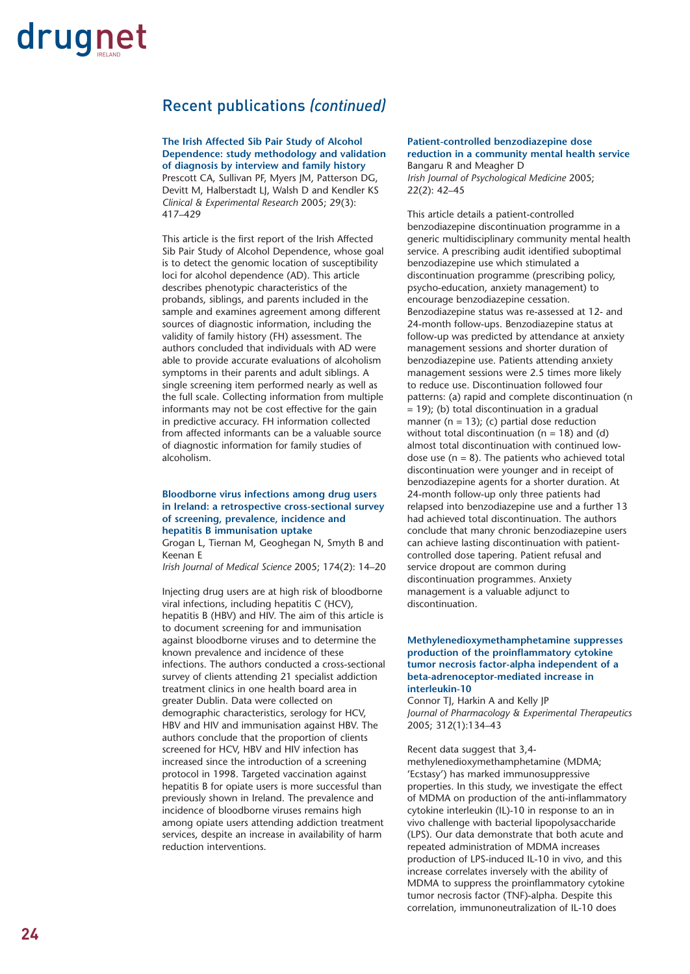### Recent publications *(continued)*

**The Irish Affected Sib Pair Study of Alcohol Dependence: study methodology and validation of diagnosis by interview and family history** Prescott CA, Sullivan PF, Myers JM, Patterson DG,

Devitt M, Halberstadt LJ, Walsh D and Kendler KS *Clinical & Experimental Research* 2005; 29(3): 417–429

This article is the first report of the Irish Affected Sib Pair Study of Alcohol Dependence, whose goal is to detect the genomic location of susceptibility loci for alcohol dependence (AD). This article describes phenotypic characteristics of the probands, siblings, and parents included in the sample and examines agreement among different sources of diagnostic information, including the validity of family history (FH) assessment. The authors concluded that individuals with AD were able to provide accurate evaluations of alcoholism symptoms in their parents and adult siblings. A single screening item performed nearly as well as the full scale. Collecting information from multiple informants may not be cost effective for the gain in predictive accuracy. FH information collected from affected informants can be a valuable source of diagnostic information for family studies of alcoholism.

### **Bloodborne virus infections among drug users in Ireland: a retrospective cross-sectional survey of screening, prevalence, incidence and hepatitis B immunisation uptake**

Grogan L, Tiernan M, Geoghegan N, Smyth B and Keenan E

*Irish Journal of Medical Science* 2005; 174(2): 14–20

Injecting drug users are at high risk of bloodborne viral infections, including hepatitis C (HCV), hepatitis B (HBV) and HIV. The aim of this article is to document screening for and immunisation against bloodborne viruses and to determine the known prevalence and incidence of these infections. The authors conducted a cross-sectional survey of clients attending 21 specialist addiction treatment clinics in one health board area in greater Dublin. Data were collected on demographic characteristics, serology for HCV, HBV and HIV and immunisation against HBV. The authors conclude that the proportion of clients screened for HCV, HBV and HIV infection has increased since the introduction of a screening protocol in 1998. Targeted vaccination against hepatitis B for opiate users is more successful than previously shown in Ireland. The prevalence and incidence of bloodborne viruses remains high among opiate users attending addiction treatment services, despite an increase in availability of harm reduction interventions.

**Patient-controlled benzodiazepine dose reduction in a community mental health service** Bangaru R and Meagher D *Irish Journal of Psychological Medicine* 2005; 22(2): 42–45

This article details a patient-controlled benzodiazepine discontinuation programme in a generic multidisciplinary community mental health service. A prescribing audit identified suboptimal benzodiazepine use which stimulated a discontinuation programme (prescribing policy, psycho-education, anxiety management) to encourage benzodiazepine cessation. Benzodiazepine status was re-assessed at 12- and 24-month follow-ups. Benzodiazepine status at follow-up was predicted by attendance at anxiety management sessions and shorter duration of benzodiazepine use. Patients attending anxiety management sessions were 2.5 times more likely to reduce use. Discontinuation followed four patterns: (a) rapid and complete discontinuation (n  $= 19$ ; (b) total discontinuation in a gradual manner ( $n = 13$ ); (c) partial dose reduction without total discontinuation ( $n = 18$ ) and (d) almost total discontinuation with continued lowdose use ( $n = 8$ ). The patients who achieved total discontinuation were younger and in receipt of benzodiazepine agents for a shorter duration. At 24-month follow-up only three patients had relapsed into benzodiazepine use and a further 13 had achieved total discontinuation. The authors conclude that many chronic benzodiazepine users can achieve lasting discontinuation with patientcontrolled dose tapering. Patient refusal and service dropout are common during discontinuation programmes. Anxiety management is a valuable adjunct to discontinuation.

#### **Methylenedioxymethamphetamine suppresses production of the proinflammatory cytokine tumor necrosis factor-alpha independent of a beta-adrenoceptor-mediated increase in interleukin-10**

Connor TJ, Harkin A and Kelly JP *Journal of Pharmacology & Experimental Therapeutics* 2005; 312(1):134–43

Recent data suggest that 3,4 methylenedioxymethamphetamine (MDMA; 'Ecstasy') has marked immunosuppressive properties. In this study, we investigate the effect of MDMA on production of the anti-inflammatory cytokine interleukin (IL)-10 in response to an in vivo challenge with bacterial lipopolysaccharide (LPS). Our data demonstrate that both acute and repeated administration of MDMA increases production of LPS-induced IL-10 in vivo, and this increase correlates inversely with the ability of MDMA to suppress the proinflammatory cytokine tumor necrosis factor (TNF)-alpha. Despite this correlation, immunoneutralization of IL-10 does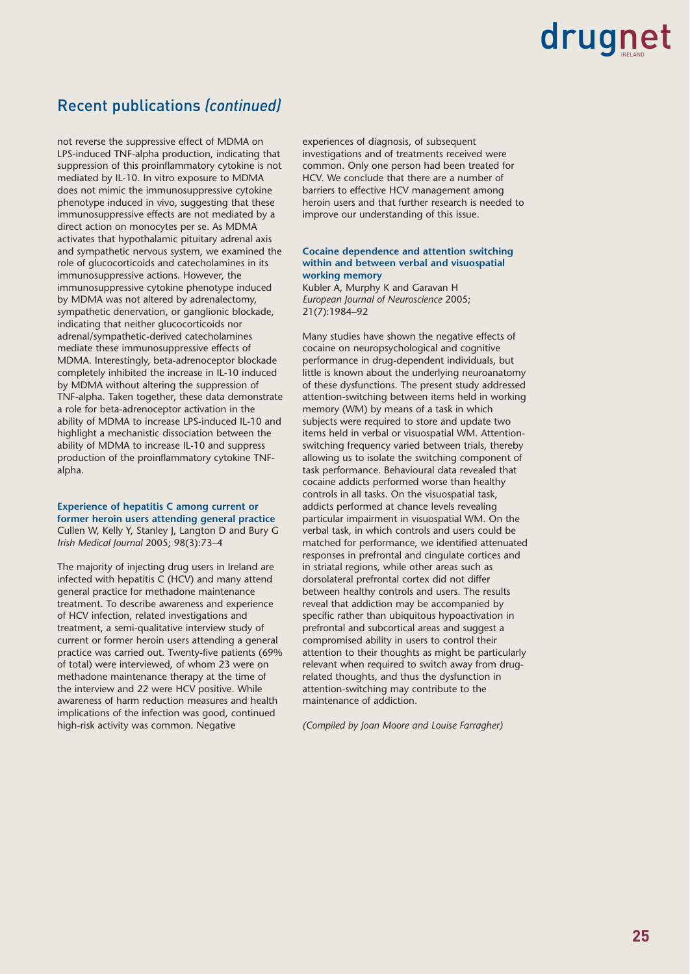### Recent publications *(continued)*

not reverse the suppressive effect of MDMA on LPS-induced TNF-alpha production, indicating that suppression of this proinflammatory cytokine is not mediated by IL-10. In vitro exposure to MDMA does not mimic the immunosuppressive cytokine phenotype induced in vivo, suggesting that these immunosuppressive effects are not mediated by a direct action on monocytes per se. As MDMA activates that hypothalamic pituitary adrenal axis and sympathetic nervous system, we examined the role of glucocorticoids and catecholamines in its immunosuppressive actions. However, the immunosuppressive cytokine phenotype induced by MDMA was not altered by adrenalectomy, sympathetic denervation, or ganglionic blockade, indicating that neither glucocorticoids nor adrenal/sympathetic-derived catecholamines mediate these immunosuppressive effects of MDMA. Interestingly, beta-adrenoceptor blockade completely inhibited the increase in IL-10 induced by MDMA without altering the suppression of TNF-alpha. Taken together, these data demonstrate a role for beta-adrenoceptor activation in the ability of MDMA to increase LPS-induced IL-10 and highlight a mechanistic dissociation between the ability of MDMA to increase IL-10 and suppress production of the proinflammatory cytokine TNFalpha.

**Experience of hepatitis C among current or former heroin users attending general practice** Cullen W, Kelly Y, Stanley J, Langton D and Bury G *Irish Medical Journal* 2005; 98(3):73–4

The majority of injecting drug users in Ireland are infected with hepatitis C (HCV) and many attend general practice for methadone maintenance treatment. To describe awareness and experience of HCV infection, related investigations and treatment, a semi-qualitative interview study of current or former heroin users attending a general practice was carried out. Twenty-five patients (69% of total) were interviewed, of whom 23 were on methadone maintenance therapy at the time of the interview and 22 were HCV positive. While awareness of harm reduction measures and health implications of the infection was good, continued high-risk activity was common. Negative

experiences of diagnosis, of subsequent investigations and of treatments received were common. Only one person had been treated for HCV. We conclude that there are a number of barriers to effective HCV management among heroin users and that further research is needed to improve our understanding of this issue.

### **Cocaine dependence and attention switching within and between verbal and visuospatial working memory**

Kubler A, Murphy K and Garavan H *European Journal of Neuroscience* 2005; 21(7):1984–92

Many studies have shown the negative effects of cocaine on neuropsychological and cognitive performance in drug-dependent individuals, but little is known about the underlying neuroanatomy of these dysfunctions. The present study addressed attention-switching between items held in working memory (WM) by means of a task in which subjects were required to store and update two items held in verbal or visuospatial WM. Attentionswitching frequency varied between trials, thereby allowing us to isolate the switching component of task performance. Behavioural data revealed that cocaine addicts performed worse than healthy controls in all tasks. On the visuospatial task, addicts performed at chance levels revealing particular impairment in visuospatial WM. On the verbal task, in which controls and users could be matched for performance, we identified attenuated responses in prefrontal and cingulate cortices and in striatal regions, while other areas such as dorsolateral prefrontal cortex did not differ between healthy controls and users. The results reveal that addiction may be accompanied by specific rather than ubiquitous hypoactivation in prefrontal and subcortical areas and suggest a compromised ability in users to control their attention to their thoughts as might be particularly relevant when required to switch away from drugrelated thoughts, and thus the dysfunction in attention-switching may contribute to the maintenance of addiction.

*(Compiled by Joan Moore and Louise Farragher)*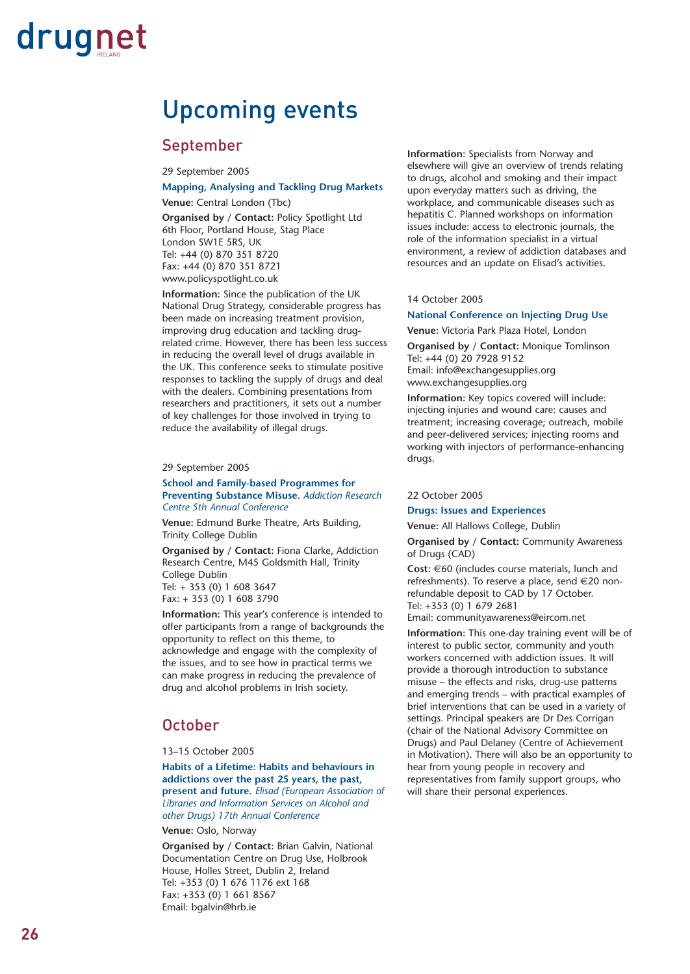### Upcoming events

### September

29 September 2005

### **Mapping, Analysing and Tackling Drug Markets**

**Venue:** Central London (Tbc)

**Organised by / Contact:** Policy Spotlight Ltd 6th Floor, Portland House, Stag Place London SW1E 5RS, UK Tel: +44 (0) 870 351 8720 Fax: +44 (0) 870 351 8721 www.policyspotlight.co.uk

**Information:** Since the publication of the UK National Drug Strategy, considerable progress has been made on increasing treatment provision, improving drug education and tackling drugrelated crime. However, there has been less success in reducing the overall level of drugs available in the UK. This conference seeks to stimulate positive responses to tackling the supply of drugs and deal with the dealers. Combining presentations from researchers and practitioners, it sets out a number of key challenges for those involved in trying to reduce the availability of illegal drugs.

#### 29 September 2005

#### **School and Family-based Programmes for Preventing Substance Misuse.** *Addiction Research Centre 5th Annual Conference*

**Venue:** Edmund Burke Theatre, Arts Building, Trinity College Dublin

**Organised by / Contact:** Fiona Clarke, Addiction Research Centre, M45 Goldsmith Hall, Trinity College Dublin Tel: + 353 (0) 1 608 3647 Fax: + 353 (0) 1 608 3790

**Information:** This year's conference is intended to offer participants from a range of backgrounds the opportunity to reflect on this theme, to acknowledge and engage with the complexity of the issues, and to see how in practical terms we can make progress in reducing the prevalence of drug and alcohol problems in Irish society.

### **October**

#### 13–15 October 2005

**Habits of a Lifetime: Habits and behaviours in addictions over the past 25 years, the past, present and future.** *Elisad (European Association of Libraries and Information Services on Alcohol and other Drugs) 17th Annual Conference*

**Venue:** Oslo, Norway

**Organised by / Contact:** Brian Galvin, National Documentation Centre on Drug Use, Holbrook House, Holles Street, Dublin 2, Ireland Tel: +353 (0) 1 676 1176 ext 168 Fax: +353 (0) 1 661 8567 Email: bgalvin@hrb.ie

**Information:** Specialists from Norway and elsewhere will give an overview of trends relating to drugs, alcohol and smoking and their impact upon everyday matters such as driving, the workplace, and communicable diseases such as hepatitis C. Planned workshops on information issues include: access to electronic journals, the role of the information specialist in a virtual environment, a review of addiction databases and resources and an update on Elisad's activities.

#### 14 October 2005

**National Conference on Injecting Drug Use**

**Venue:** Victoria Park Plaza Hotel, London

**Organised by / Contact:** Monique Tomlinson Tel: +44 (0) 20 7928 9152 Email: info@exchangesupplies.org www.exchangesupplies.org

**Information:** Key topics covered will include: injecting injuries and wound care: causes and treatment; increasing coverage; outreach, mobile and peer-delivered services; injecting rooms and working with injectors of performance-enhancing drugs.

#### 22 October 2005

**Drugs: Issues and Experiences**

**Venue:** All Hallows College, Dublin

**Organised by / Contact:** Community Awareness of Drugs (CAD)

**Cost:** €60 (includes course materials, lunch and refreshments). To reserve a place, send €20 nonrefundable deposit to CAD by 17 October. Tel: +353 (0) 1 679 2681

Email: communityawareness@eircom.net

**Information:** This one-day training event will be of interest to public sector, community and youth workers concerned with addiction issues. It will provide a thorough introduction to substance misuse – the effects and risks, drug-use patterns and emerging trends – with practical examples of brief interventions that can be used in a variety of settings. Principal speakers are Dr Des Corrigan (chair of the National Advisory Committee on Drugs) and Paul Delaney (Centre of Achievement in Motivation). There will also be an opportunity to hear from young people in recovery and representatives from family support groups, who will share their personal experiences.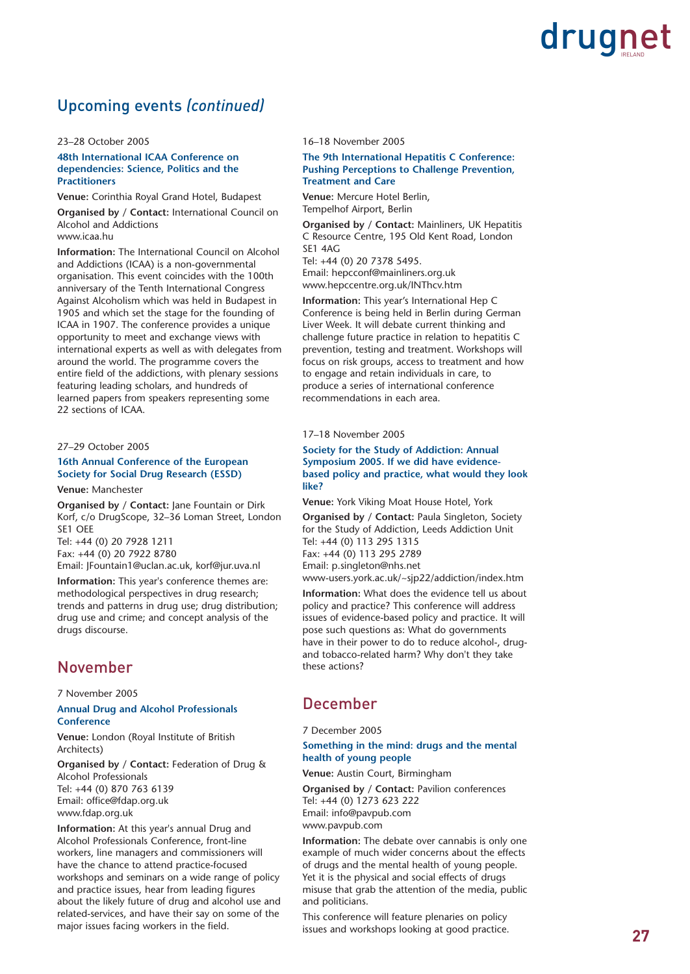### Upcoming events *(continued)*

#### 23–28 October 2005

### **48th International ICAA Conference on dependencies: Science, Politics and the Practitioners**

**Venue:** Corinthia Royal Grand Hotel, Budapest

**Organised by / Contact:** International Council on Alcohol and Addictions www.icaa.hu

**Information:** The International Council on Alcohol and Addictions (ICAA) is a non-governmental organisation. This event coincides with the 100th anniversary of the Tenth International Congress Against Alcoholism which was held in Budapest in 1905 and which set the stage for the founding of ICAA in 1907. The conference provides a unique opportunity to meet and exchange views with international experts as well as with delegates from around the world. The programme covers the entire field of the addictions, with plenary sessions featuring leading scholars, and hundreds of learned papers from speakers representing some 22 sections of ICAA.

### 27–29 October 2005

### **16th Annual Conference of the European Society for Social Drug Research (ESSD)**

**Venue:** Manchester

**Organised by / Contact:** Jane Fountain or Dirk Korf, c/o DrugScope, 32–36 Loman Street, London SE1 OEE Tel: +44 (0) 20 7928 1211 Fax: +44 (0) 20 7922 8780

Email: JFountain1@uclan.ac.uk, korf@jur.uva.nl

**Information:** This year's conference themes are: methodological perspectives in drug research; trends and patterns in drug use; drug distribution; drug use and crime; and concept analysis of the drugs discourse.

### November

7 November 2005

### **Annual Drug and Alcohol Professionals Conference**

**Venue:** London (Royal Institute of British Architects)

**Organised by / Contact:** Federation of Drug & Alcohol Professionals Tel: +44 (0) 870 763 6139 Email: office@fdap.org.uk www.fdap.org.uk

**Information:** At this year's annual Drug and Alcohol Professionals Conference, front-line workers, line managers and commissioners will have the chance to attend practice-focused workshops and seminars on a wide range of policy and practice issues, hear from leading figures about the likely future of drug and alcohol use and related-services, and have their say on some of the major issues facing workers in the field.

16–18 November 2005

### **The 9th International Hepatitis C Conference: Pushing Perceptions to Challenge Prevention, Treatment and Care**

**Venue:** Mercure Hotel Berlin, Tempelhof Airport, Berlin

**Organised by / Contact:** Mainliners, UK Hepatitis C Resource Centre, 195 Old Kent Road, London SE1 4AG

Tel: +44 (0) 20 7378 5495. Email: hepcconf@mainliners.org.uk

www.hepccentre.org.uk/INThcv.htm **Information:** This year's International Hep C Conference is being held in Berlin during German

Liver Week. It will debate current thinking and challenge future practice in relation to hepatitis C prevention, testing and treatment. Workshops will focus on risk groups, access to treatment and how to engage and retain individuals in care, to produce a series of international conference .<br>recommendations in each area.

17–18 November 2005

### **Society for the Study of Addiction: Annual Symposium 2005. If we did have evidencebased policy and practice, what would they look like?**

**Venue:** York Viking Moat House Hotel, York

**Organised by / Contact:** Paula Singleton, Society for the Study of Addiction, Leeds Addiction Unit Tel: +44 (0) 113 295 1315 Fax: +44 (0) 113 295 2789 Email: p.singleton@nhs.net www-users.york.ac.uk/~sjp22/addiction/index.htm

**Information:** What does the evidence tell us about policy and practice? This conference will address issues of evidence-based policy and practice. It will pose such questions as: What do governments have in their power to do to reduce alcohol-, drugand tobacco-related harm? Why don't they take these actions?

### December

7 December 2005

### **Something in the mind: drugs and the mental health of young people**

**Venue:** Austin Court, Birmingham

**Organised by / Contact:** Pavilion conferences Tel: +44 (0) 1273 623 222 Email: info@pavpub.com www.pavpub.com

**Information:** The debate over cannabis is only one example of much wider concerns about the effects of drugs and the mental health of young people. Yet it is the physical and social effects of drugs misuse that grab the attention of the media, public and politicians.

This conference will feature plenaries on policy issues and workshops looking at good practice.